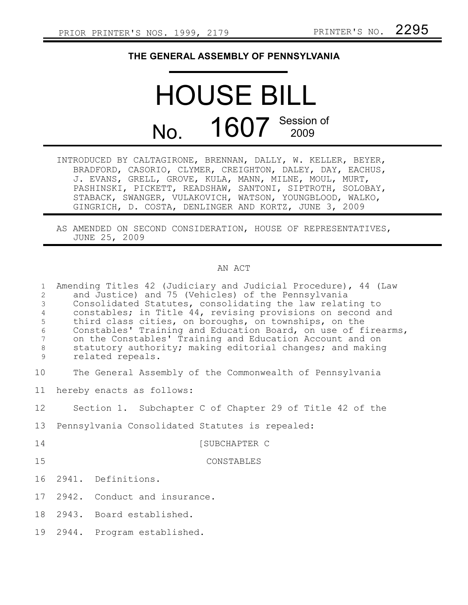## **THE GENERAL ASSEMBLY OF PENNSYLVANIA**

## HOUSE BILL No. 1607 Session of

| INTRODUCED BY CALTAGIRONE, BRENNAN, DALLY, W. KELLER, BEYER, |  |
|--------------------------------------------------------------|--|
| BRADFORD, CASORIO, CLYMER, CREIGHTON, DALEY, DAY, EACHUS,    |  |
| J. EVANS, GRELL, GROVE, KULA, MANN, MILNE, MOUL, MURT,       |  |
| PASHINSKI, PICKETT, READSHAW, SANTONI, SIPTROTH, SOLOBAY,    |  |
| STABACK, SWANGER, VULAKOVICH, WATSON, YOUNGBLOOD, WALKO,     |  |
| GINGRICH, D. COSTA, DENLINGER AND KORTZ, JUNE 3, 2009        |  |

AS AMENDED ON SECOND CONSIDERATION, HOUSE OF REPRESENTATIVES, JUNE 25, 2009

## AN ACT

| $\mathbf{1}$<br>$\overline{2}$<br>$\mathfrak{Z}$<br>$\overline{4}$<br>5<br>$\epsilon$<br>7<br>$\,8\,$<br>9 | Amending Titles 42 (Judiciary and Judicial Procedure), 44 (Law<br>and Justice) and 75 (Vehicles) of the Pennsylvania<br>Consolidated Statutes, consolidating the law relating to<br>constables; in Title 44, revising provisions on second and<br>third class cities, on boroughs, on townships, on the<br>Constables' Training and Education Board, on use of firearms,<br>on the Constables' Training and Education Account and on<br>statutory authority; making editorial changes; and making<br>related repeals. |
|------------------------------------------------------------------------------------------------------------|-----------------------------------------------------------------------------------------------------------------------------------------------------------------------------------------------------------------------------------------------------------------------------------------------------------------------------------------------------------------------------------------------------------------------------------------------------------------------------------------------------------------------|
| 10                                                                                                         | The General Assembly of the Commonwealth of Pennsylvania                                                                                                                                                                                                                                                                                                                                                                                                                                                              |
| 11                                                                                                         | hereby enacts as follows:                                                                                                                                                                                                                                                                                                                                                                                                                                                                                             |
| 12 <sup>°</sup>                                                                                            | Section 1. Subchapter C of Chapter 29 of Title 42 of the                                                                                                                                                                                                                                                                                                                                                                                                                                                              |
| 13                                                                                                         | Pennsylvania Consolidated Statutes is repealed:                                                                                                                                                                                                                                                                                                                                                                                                                                                                       |
| 14                                                                                                         | [SUBCHAPTER C                                                                                                                                                                                                                                                                                                                                                                                                                                                                                                         |
| 15                                                                                                         | CONSTABLES                                                                                                                                                                                                                                                                                                                                                                                                                                                                                                            |
| 16                                                                                                         | 2941. Definitions.                                                                                                                                                                                                                                                                                                                                                                                                                                                                                                    |
| 17                                                                                                         | 2942. Conduct and insurance.                                                                                                                                                                                                                                                                                                                                                                                                                                                                                          |
| 18                                                                                                         | 2943. Board established.                                                                                                                                                                                                                                                                                                                                                                                                                                                                                              |
| 19                                                                                                         | 2944. Program established.                                                                                                                                                                                                                                                                                                                                                                                                                                                                                            |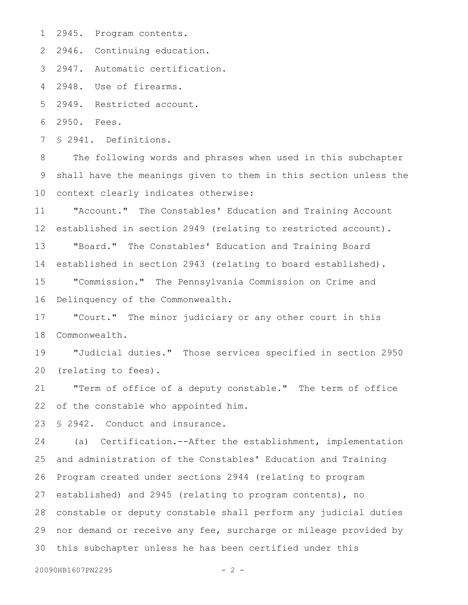2945. Program contents. 1

2 2946. Continuing education.

2947. Automatic certification. 3

2948. Use of firearms. 4

2949. Restricted account. 5

2950. Fees. 6

§ 2941. Definitions. 7

The following words and phrases when used in this subchapter shall have the meanings given to them in this section unless the context clearly indicates otherwise: 8 9 10

"Account." The Constables' Education and Training Account established in section 2949 (relating to restricted account). "Board." The Constables' Education and Training Board established in section 2943 (relating to board established). 11 12 13 14

"Commission." The Pennsylvania Commission on Crime and Delinquency of the Commonwealth. 15 16

"Court." The minor judiciary or any other court in this Commonwealth. 17 18

"Judicial duties." Those services specified in section 2950 (relating to fees). 19 20

"Term of office of a deputy constable." The term of office of the constable who appointed him. 21 22

§ 2942. Conduct and insurance. 23

(a) Certification.--After the establishment, implementation and administration of the Constables' Education and Training Program created under sections 2944 (relating to program established) and 2945 (relating to program contents), no constable or deputy constable shall perform any judicial duties 28 nor demand or receive any fee, surcharge or mileage provided by 30 this subchapter unless he has been certified under this 24 25 26 27 29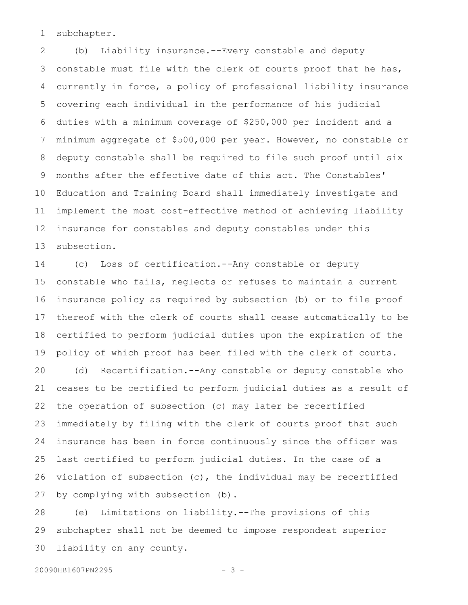subchapter. 1

(b) Liability insurance.--Every constable and deputy constable must file with the clerk of courts proof that he has, currently in force, a policy of professional liability insurance covering each individual in the performance of his judicial duties with a minimum coverage of \$250,000 per incident and a minimum aggregate of \$500,000 per year. However, no constable or deputy constable shall be required to file such proof until six months after the effective date of this act. The Constables' Education and Training Board shall immediately investigate and implement the most cost-effective method of achieving liability insurance for constables and deputy constables under this subsection. 2 3 4 5 6 7 8 9 10 11 12 13

(c) Loss of certification.--Any constable or deputy constable who fails, neglects or refuses to maintain a current insurance policy as required by subsection (b) or to file proof thereof with the clerk of courts shall cease automatically to be certified to perform judicial duties upon the expiration of the policy of which proof has been filed with the clerk of courts. (d) Recertification.--Any constable or deputy constable who ceases to be certified to perform judicial duties as a result of the operation of subsection (c) may later be recertified immediately by filing with the clerk of courts proof that such insurance has been in force continuously since the officer was last certified to perform judicial duties. In the case of a violation of subsection (c), the individual may be recertified 14 15 16 17 18 19 20 21 22 23 24 25 26

by complying with subsection (b). 27

(e) Limitations on liability.--The provisions of this subchapter shall not be deemed to impose respondeat superior liability on any county. 28 29 30

20090HB1607PN2295 - 3 -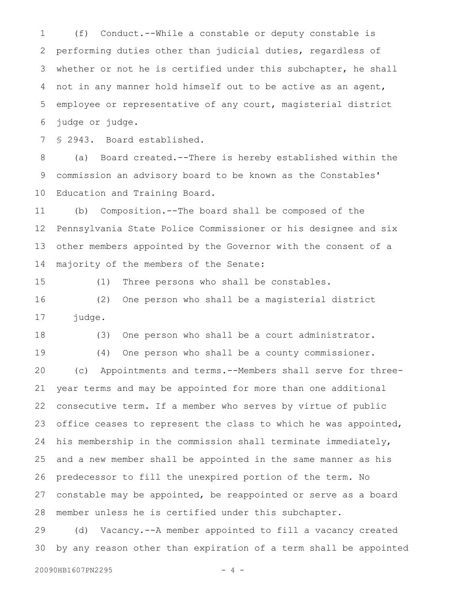(f) Conduct.--While a constable or deputy constable is performing duties other than judicial duties, regardless of whether or not he is certified under this subchapter, he shall not in any manner hold himself out to be active as an agent, employee or representative of any court, magisterial district judge or judge. 1 2 3 4 5 6

§ 2943. Board established. 7

(a) Board created.--There is hereby established within the commission an advisory board to be known as the Constables' Education and Training Board. 8 9 10

(b) Composition.--The board shall be composed of the Pennsylvania State Police Commissioner or his designee and six other members appointed by the Governor with the consent of a majority of the members of the Senate: 11 12 13 14

15

(1) Three persons who shall be constables.

(2) One person who shall be a magisterial district judge. 16 17

(3) One person who shall be a court administrator. 18

(4) One person who shall be a county commissioner. (c) Appointments and terms.--Members shall serve for threeyear terms and may be appointed for more than one additional consecutive term. If a member who serves by virtue of public office ceases to represent the class to which he was appointed, his membership in the commission shall terminate immediately, and a new member shall be appointed in the same manner as his predecessor to fill the unexpired portion of the term. No constable may be appointed, be reappointed or serve as a board member unless he is certified under this subchapter. 19 20 21 22 23 24 25 26 27 28

(d) Vacancy.--A member appointed to fill a vacancy created by any reason other than expiration of a term shall be appointed 29 30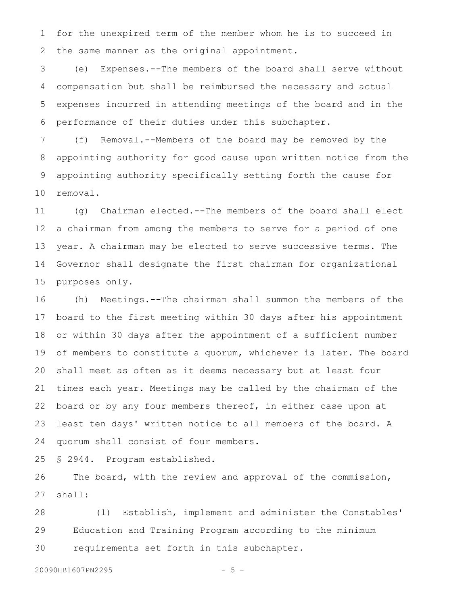for the unexpired term of the member whom he is to succeed in the same manner as the original appointment. 1 2

(e) Expenses.--The members of the board shall serve without compensation but shall be reimbursed the necessary and actual expenses incurred in attending meetings of the board and in the performance of their duties under this subchapter. 3 4 5 6

(f) Removal.--Members of the board may be removed by the appointing authority for good cause upon written notice from the appointing authority specifically setting forth the cause for removal. 7 8 9 10

(g) Chairman elected.--The members of the board shall elect a chairman from among the members to serve for a period of one year. A chairman may be elected to serve successive terms. The Governor shall designate the first chairman for organizational purposes only. 11 12 13 14 15

(h) Meetings.--The chairman shall summon the members of the board to the first meeting within 30 days after his appointment or within 30 days after the appointment of a sufficient number of members to constitute a quorum, whichever is later. The board shall meet as often as it deems necessary but at least four times each year. Meetings may be called by the chairman of the board or by any four members thereof, in either case upon at least ten days' written notice to all members of the board. A quorum shall consist of four members. 16 17 18 19 20 21 22 23 24

§ 2944. Program established. 25

The board, with the review and approval of the commission, shall: 26 27

(1) Establish, implement and administer the Constables' Education and Training Program according to the minimum requirements set forth in this subchapter. 28 29 30

20090HB1607PN2295 - 5 -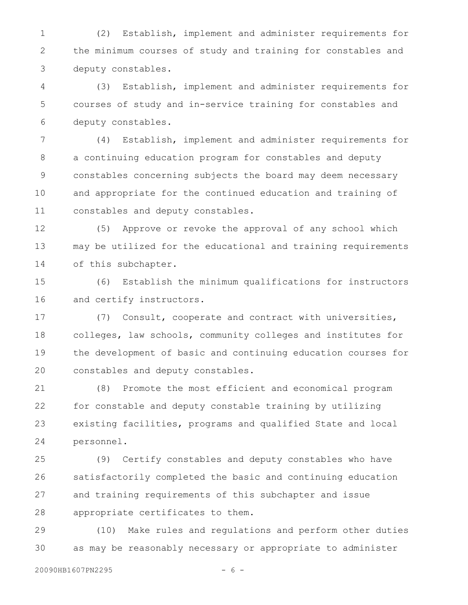(2) Establish, implement and administer requirements for the minimum courses of study and training for constables and deputy constables. 1 2 3

(3) Establish, implement and administer requirements for courses of study and in-service training for constables and deputy constables. 4 5 6

(4) Establish, implement and administer requirements for a continuing education program for constables and deputy constables concerning subjects the board may deem necessary and appropriate for the continued education and training of constables and deputy constables. 7 8 9 10 11

(5) Approve or revoke the approval of any school which may be utilized for the educational and training requirements of this subchapter. 12 13 14

(6) Establish the minimum qualifications for instructors and certify instructors. 15 16

(7) Consult, cooperate and contract with universities, colleges, law schools, community colleges and institutes for the development of basic and continuing education courses for constables and deputy constables. 17 18 19 20

(8) Promote the most efficient and economical program for constable and deputy constable training by utilizing existing facilities, programs and qualified State and local personnel. 21 22 23 24

(9) Certify constables and deputy constables who have satisfactorily completed the basic and continuing education and training requirements of this subchapter and issue appropriate certificates to them. 25 26 27 28

(10) Make rules and regulations and perform other duties as may be reasonably necessary or appropriate to administer 29 30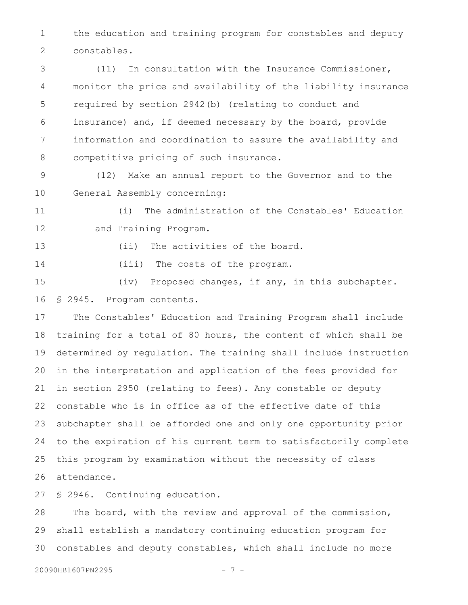the education and training program for constables and deputy constables. 1 2

(11) In consultation with the Insurance Commissioner, monitor the price and availability of the liability insurance required by section 2942(b) (relating to conduct and insurance) and, if deemed necessary by the board, provide information and coordination to assure the availability and competitive pricing of such insurance. 3 4 5 6 7 8

(12) Make an annual report to the Governor and to the General Assembly concerning: 9 10

(i) The administration of the Constables' Education and Training Program. 11 12

13

(ii) The activities of the board.

(iii) The costs of the program. 14

(iv) Proposed changes, if any, in this subchapter. § 2945. Program contents. 15 16

The Constables' Education and Training Program shall include training for a total of 80 hours, the content of which shall be determined by regulation. The training shall include instruction in the interpretation and application of the fees provided for in section 2950 (relating to fees). Any constable or deputy constable who is in office as of the effective date of this subchapter shall be afforded one and only one opportunity prior to the expiration of his current term to satisfactorily complete this program by examination without the necessity of class attendance. 17 18 19 20 21 22 23 24 25 26

§ 2946. Continuing education. 27

The board, with the review and approval of the commission, shall establish a mandatory continuing education program for constables and deputy constables, which shall include no more 28 29 30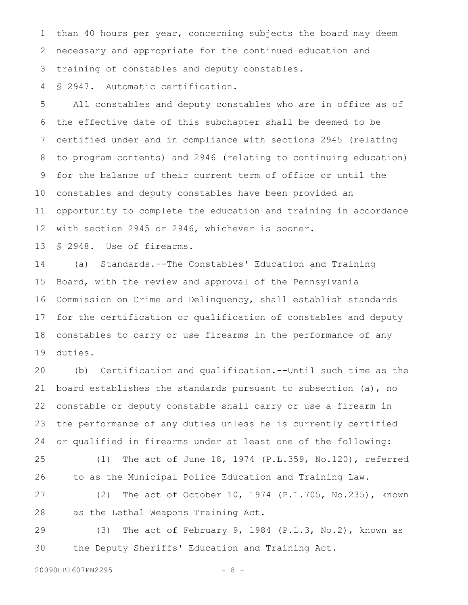than 40 hours per year, concerning subjects the board may deem necessary and appropriate for the continued education and training of constables and deputy constables. 1 2 3

§ 2947. Automatic certification. 4

All constables and deputy constables who are in office as of the effective date of this subchapter shall be deemed to be certified under and in compliance with sections 2945 (relating to program contents) and 2946 (relating to continuing education) for the balance of their current term of office or until the constables and deputy constables have been provided an opportunity to complete the education and training in accordance with section 2945 or 2946, whichever is sooner. 5 6 7 8 9 10 11 12

§ 2948. Use of firearms. 13

(a) Standards.--The Constables' Education and Training Board, with the review and approval of the Pennsylvania Commission on Crime and Delinquency, shall establish standards for the certification or qualification of constables and deputy constables to carry or use firearms in the performance of any duties. 14 15 16 17 18 19

(b) Certification and qualification.--Until such time as the board establishes the standards pursuant to subsection (a), no constable or deputy constable shall carry or use a firearm in the performance of any duties unless he is currently certified or qualified in firearms under at least one of the following: 20 21 22 23 24

(1) The act of June 18, 1974 (P.L.359, No.120), referred to as the Municipal Police Education and Training Law. 25 26

(2) The act of October 10, 1974 (P.L.705, No.235), known as the Lethal Weapons Training Act. 27 28

(3) The act of February 9, 1984 (P.L.3, No.2), known as the Deputy Sheriffs' Education and Training Act. 29 30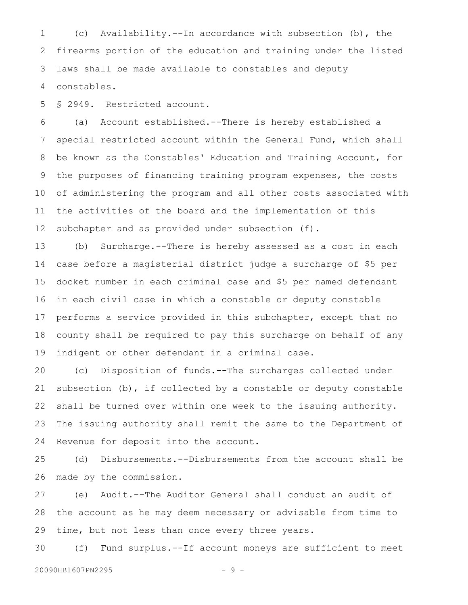(c) Availability.--In accordance with subsection (b), the firearms portion of the education and training under the listed laws shall be made available to constables and deputy constables. 1 2 3 4

§ 2949. Restricted account. 5

(a) Account established.--There is hereby established a special restricted account within the General Fund, which shall be known as the Constables' Education and Training Account, for the purposes of financing training program expenses, the costs of administering the program and all other costs associated with the activities of the board and the implementation of this subchapter and as provided under subsection (f). 6 7 8 9 10 11 12

(b) Surcharge.--There is hereby assessed as a cost in each case before a magisterial district judge a surcharge of \$5 per docket number in each criminal case and \$5 per named defendant in each civil case in which a constable or deputy constable performs a service provided in this subchapter, except that no county shall be required to pay this surcharge on behalf of any indigent or other defendant in a criminal case. 13 14 15 16 17 18 19

(c) Disposition of funds.--The surcharges collected under subsection  $(b)$ , if collected by a constable or deputy constable shall be turned over within one week to the issuing authority. The issuing authority shall remit the same to the Department of Revenue for deposit into the account. 20 21 22 23 24

(d) Disbursements.--Disbursements from the account shall be made by the commission. 25 26

(e) Audit.--The Auditor General shall conduct an audit of the account as he may deem necessary or advisable from time to time, but not less than once every three years. 27 28 29

(f) Fund surplus.--If account moneys are sufficient to meet 30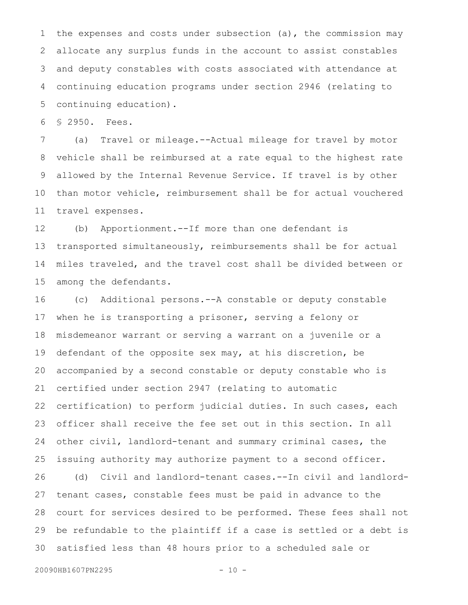the expenses and costs under subsection (a), the commission may allocate any surplus funds in the account to assist constables and deputy constables with costs associated with attendance at continuing education programs under section 2946 (relating to continuing education). 1 2 3 4 5

§ 2950. Fees. 6

(a) Travel or mileage.--Actual mileage for travel by motor vehicle shall be reimbursed at a rate equal to the highest rate allowed by the Internal Revenue Service. If travel is by other than motor vehicle, reimbursement shall be for actual vouchered travel expenses. 7 8 9 10 11

(b) Apportionment.--If more than one defendant is transported simultaneously, reimbursements shall be for actual miles traveled, and the travel cost shall be divided between or among the defendants. 12 13 14 15

(c) Additional persons.--A constable or deputy constable when he is transporting a prisoner, serving a felony or misdemeanor warrant or serving a warrant on a juvenile or a defendant of the opposite sex may, at his discretion, be accompanied by a second constable or deputy constable who is certified under section 2947 (relating to automatic certification) to perform judicial duties. In such cases, each officer shall receive the fee set out in this section. In all other civil, landlord-tenant and summary criminal cases, the issuing authority may authorize payment to a second officer. (d) Civil and landlord-tenant cases.--In civil and landlordtenant cases, constable fees must be paid in advance to the court for services desired to be performed. These fees shall not be refundable to the plaintiff if a case is settled or a debt is 16 17 18 19 20 21 22 23 24 25 26 27 28 29

satisfied less than 48 hours prior to a scheduled sale or 30

```
20090HB1607PN2295 - 10 -
```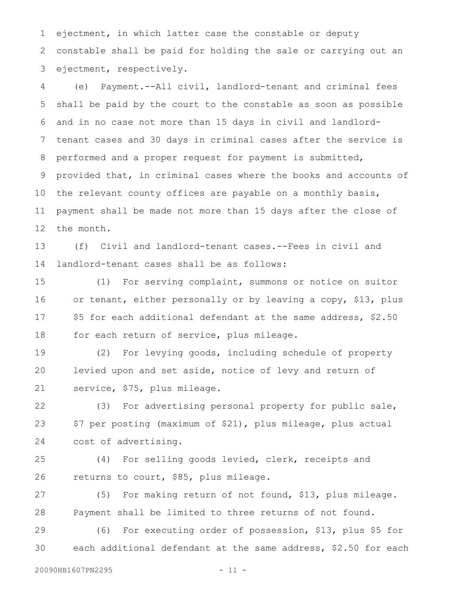ejectment, in which latter case the constable or deputy constable shall be paid for holding the sale or carrying out an ejectment, respectively. 1 2 3

(e) Payment.--All civil, landlord-tenant and criminal fees shall be paid by the court to the constable as soon as possible and in no case not more than 15 days in civil and landlordtenant cases and 30 days in criminal cases after the service is performed and a proper request for payment is submitted, provided that, in criminal cases where the books and accounts of the relevant county offices are payable on a monthly basis, payment shall be made not more than 15 days after the close of the month. 4 5 6 7 8 9 10 11 12

(f) Civil and landlord-tenant cases.--Fees in civil and landlord-tenant cases shall be as follows: 13 14

(1) For serving complaint, summons or notice on suitor or tenant, either personally or by leaving a copy, \$13, plus \$5 for each additional defendant at the same address, \$2.50 for each return of service, plus mileage. 15 16 17 18

(2) For levying goods, including schedule of property levied upon and set aside, notice of levy and return of service, \$75, plus mileage. 19 20 21

(3) For advertising personal property for public sale, \$7 per posting (maximum of \$21), plus mileage, plus actual cost of advertising. 22 23 24

(4) For selling goods levied, clerk, receipts and returns to court, \$85, plus mileage. 25 26

(5) For making return of not found, \$13, plus mileage. Payment shall be limited to three returns of not found. 27 28

(6) For executing order of possession, \$13, plus \$5 for each additional defendant at the same address, \$2.50 for each 29 30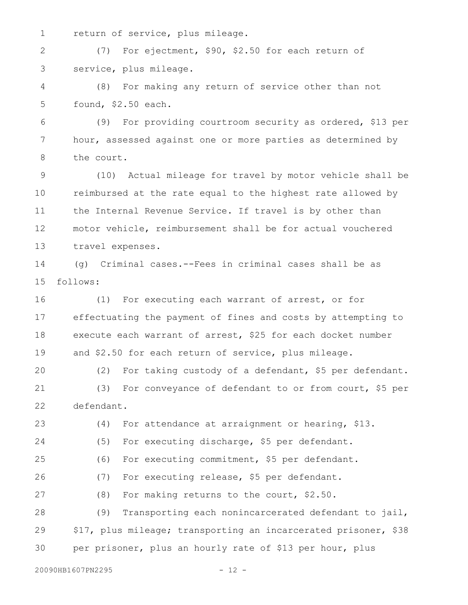return of service, plus mileage. 1

(7) For ejectment, \$90, \$2.50 for each return of service, plus mileage. 2 3

(8) For making any return of service other than not found, \$2.50 each. 4 5

(9) For providing courtroom security as ordered, \$13 per hour, assessed against one or more parties as determined by the court. 6 7 8

(10) Actual mileage for travel by motor vehicle shall be reimbursed at the rate equal to the highest rate allowed by the Internal Revenue Service. If travel is by other than motor vehicle, reimbursement shall be for actual vouchered travel expenses. 9 10 11 12 13

(g) Criminal cases.--Fees in criminal cases shall be as follows: 14 15

(1) For executing each warrant of arrest, or for effectuating the payment of fines and costs by attempting to execute each warrant of arrest, \$25 for each docket number and \$2.50 for each return of service, plus mileage. 16 17 18 19

(2) For taking custody of a defendant, \$5 per defendant. (3) For conveyance of defendant to or from court, \$5 per defendant. 20 21 22

(4) For attendance at arraignment or hearing, \$13. (5) For executing discharge, \$5 per defendant. (6) For executing commitment, \$5 per defendant. (7) For executing release, \$5 per defendant. (8) For making returns to the court, \$2.50. (9) Transporting each nonincarcerated defendant to jail, \$17, plus mileage; transporting an incarcerated prisoner, \$38 per prisoner, plus an hourly rate of \$13 per hour, plus 23 24 25 26 27 28 29 30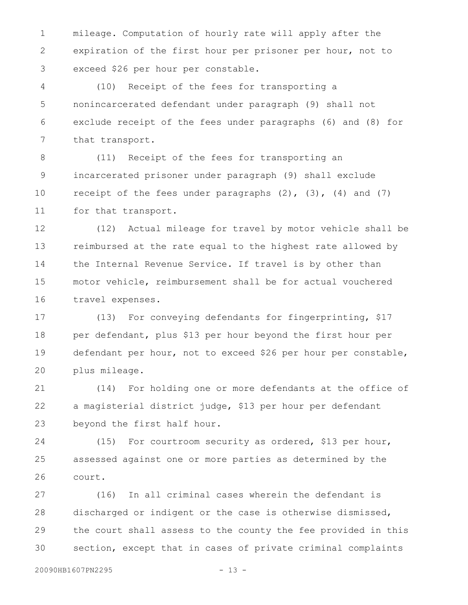mileage. Computation of hourly rate will apply after the expiration of the first hour per prisoner per hour, not to exceed \$26 per hour per constable. 1 2 3

(10) Receipt of the fees for transporting a nonincarcerated defendant under paragraph (9) shall not exclude receipt of the fees under paragraphs (6) and (8) for that transport. 4 5 6 7

(11) Receipt of the fees for transporting an incarcerated prisoner under paragraph (9) shall exclude receipt of the fees under paragraphs  $(2)$ ,  $(3)$ ,  $(4)$  and  $(7)$ for that transport. 8 9 10 11

(12) Actual mileage for travel by motor vehicle shall be reimbursed at the rate equal to the highest rate allowed by the Internal Revenue Service. If travel is by other than motor vehicle, reimbursement shall be for actual vouchered travel expenses. 12 13 14 15 16

(13) For conveying defendants for fingerprinting, \$17 per defendant, plus \$13 per hour beyond the first hour per defendant per hour, not to exceed \$26 per hour per constable, plus mileage. 17 18 19 20

(14) For holding one or more defendants at the office of a magisterial district judge, \$13 per hour per defendant beyond the first half hour. 21 22 23

(15) For courtroom security as ordered, \$13 per hour, assessed against one or more parties as determined by the court. 24 25 26

(16) In all criminal cases wherein the defendant is discharged or indigent or the case is otherwise dismissed, the court shall assess to the county the fee provided in this section, except that in cases of private criminal complaints 27 28 29 30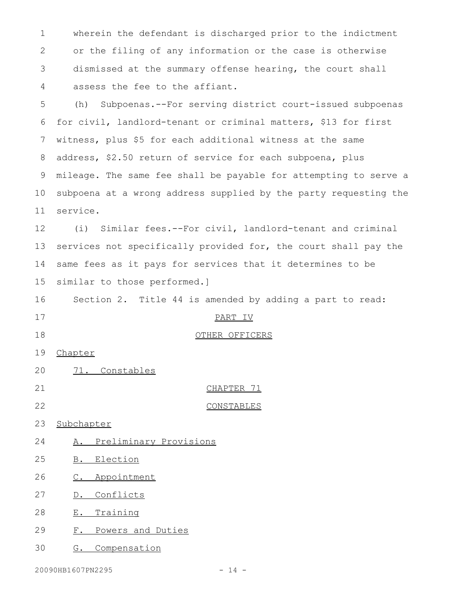wherein the defendant is discharged prior to the indictment or the filing of any information or the case is otherwise dismissed at the summary offense hearing, the court shall assess the fee to the affiant. 1 2 3 4

(h) Subpoenas.--For serving district court-issued subpoenas for civil, landlord-tenant or criminal matters, \$13 for first witness, plus \$5 for each additional witness at the same address, \$2.50 return of service for each subpoena, plus mileage. The same fee shall be payable for attempting to serve a subpoena at a wrong address supplied by the party requesting the service. 5 6 7 8 9 10 11

(i) Similar fees.--For civil, landlord-tenant and criminal services not specifically provided for, the court shall pay the same fees as it pays for services that it determines to be similar to those performed.] 12 13 14 15

Section 2. Title 44 is amended by adding a part to read: 16

- 17
- 18

20

## PART IV

OTHER OFFICERS

- Chapter 19
- CHAPTER 71 21
- CONSTABLES 22

71. Constables

- Subchapter 23
- A. Preliminary Provisions 24
- B. Election 25
- C. Appointment 26
- D. Conflicts 27
- E. Training 28
- F. Powers and Duties 29
- G. Compensation 30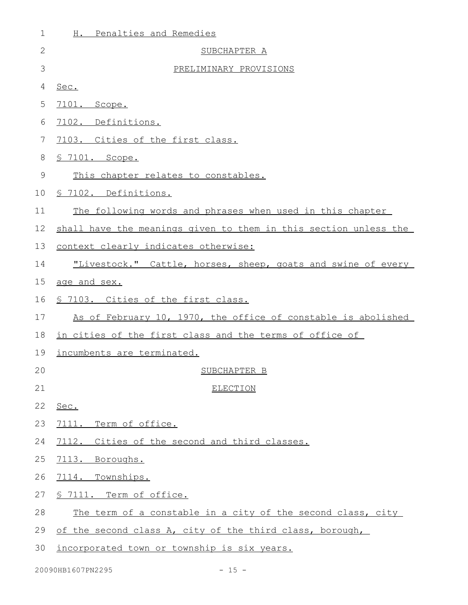| 1  | H. Penalties and Remedies                                        |
|----|------------------------------------------------------------------|
| 2  | SUBCHAPTER A                                                     |
| 3  | PRELIMINARY PROVISIONS                                           |
| 4  | Sec.                                                             |
| 5  | 7101. Scope.                                                     |
| 6  | 7102. Definitions.                                               |
| 7  | 7103. Cities of the first class.                                 |
| 8  | <u>S 7101. Scope.</u>                                            |
| 9  | This chapter relates to constables.                              |
| 10 | § 7102. Definitions.                                             |
| 11 | The following words and phrases when used in this chapter        |
| 12 | shall have the meanings given to them in this section unless the |
| 13 | context clearly indicates otherwise:                             |
| 14 | "Livestock." Cattle, horses, sheep, goats and swine of every     |
| 15 | age and sex.                                                     |
| 16 | \$ 7103. Cities of the first class.                              |
| 17 | As of February 10, 1970, the office of constable is abolished    |
| 18 | in cities of the first class and the terms of office of          |
| 19 | incumbents are terminated.                                       |
| 20 | SUBCHAPTER B                                                     |
| 21 | <b>ELECTION</b>                                                  |
| 22 | Sec.                                                             |
| 23 | Term of office.<br>7111.                                         |
| 24 | 7112. Cities of the second and third classes.                    |
| 25 | 7113. Boroughs.                                                  |
| 26 | 7114. Townships.                                                 |
| 27 | § 7111. Term of office.                                          |
| 28 | The term of a constable in a city of the second class, city      |
| 29 | of the second class A, city of the third class, borough,         |
| 30 | incorporated town or township is six years.                      |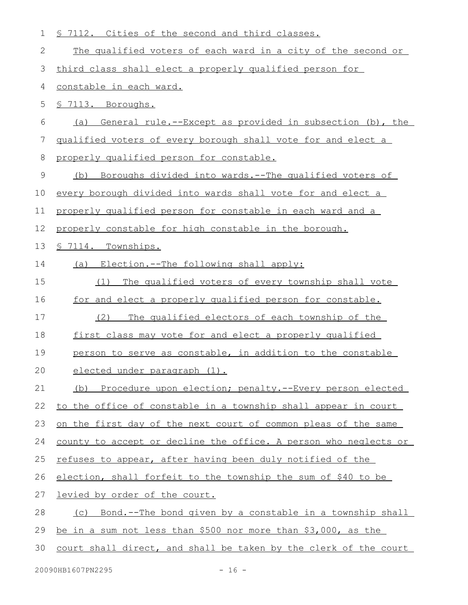| $\mathbf 1$ | § 7112. Cities of the second and third classes.                  |
|-------------|------------------------------------------------------------------|
| 2           | The qualified voters of each ward in a city of the second or     |
| 3           | third class shall elect a properly qualified person for          |
| 4           | constable in each ward.                                          |
| 5           | § 7113. Boroughs.                                                |
| 6           | (a) General rule.--Except as provided in subsection (b), the     |
| 7           | qualified voters of every borough shall vote for and elect a     |
| 8           | properly qualified person for constable.                         |
| $\mathsf 9$ | (b) Boroughs divided into wards.--The qualified voters of        |
| 10          | every borough divided into wards shall vote for and elect a      |
| 11          | properly qualified person for constable in each ward and a       |
| 12          | properly constable for high constable in the borough.            |
| 13          | <u>S 7114. Townships.</u>                                        |
| 14          | (a) Election.--The following shall apply:                        |
| 15          | The qualified voters of every township shall vote<br>(1)         |
| 16          | for and elect a properly qualified person for constable.         |
| 17          | The qualified electors of each township of the<br>(2)            |
| 18          | first class may vote for and elect a properly qualified          |
| 19          | person to serve as constable, in addition to the constable       |
| 20          | elected under paragraph (1).                                     |
| 21          | Procedure upon election; penalty.--Every person elected<br>(b)   |
| 22          | to the office of constable in a township shall appear in court   |
| 23          | on the first day of the next court of common pleas of the same   |
| 24          | county to accept or decline the office. A person who neglects or |
| 25          | refuses to appear, after having been duly notified of the        |
| 26          | election, shall forfeit to the township the sum of \$40 to be    |
| 27          | levied by order of the court.                                    |
| 28          | (c) Bond.--The bond given by a constable in a township shall     |
| 29          | be in a sum not less than \$500 nor more than \$3,000, as the    |
| 30          | court shall direct, and shall be taken by the clerk of the court |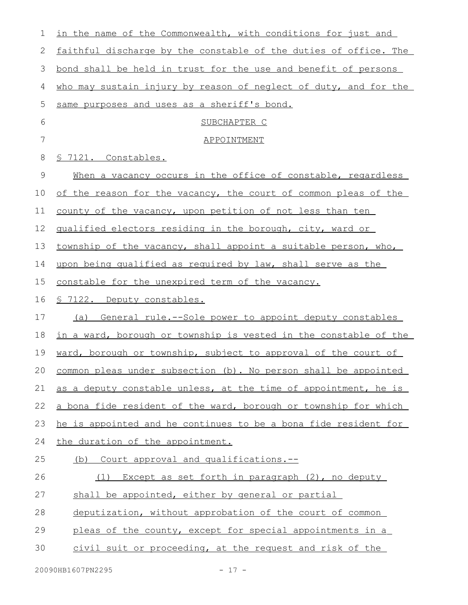| 1  | in the name of the Commonwealth, with conditions for just and           |
|----|-------------------------------------------------------------------------|
| 2  | faithful discharge by the constable of the duties of office. The        |
| 3  | bond shall be held in trust for the use and benefit of persons          |
| 4  | who may sustain injury by reason of neglect of duty, and for the        |
| 5  | same purposes and uses as a sheriff's bond.                             |
| 6  | SUBCHAPTER C                                                            |
| 7  | <b>APPOINTMENT</b>                                                      |
| 8  | § 7121. Constables.                                                     |
| 9  | When a vacancy occurs in the office of constable, regardless            |
| 10 | of the reason for the vacancy, the court of common pleas of the         |
| 11 | county of the vacancy, upon petition of not less than ten               |
| 12 | qualified electors residing in the borough, city, ward or               |
| 13 | township of the vacancy, shall appoint a suitable person, who,          |
| 14 | upon being qualified as required by law, shall serve as the             |
| 15 | constable for the unexpired term of the vacancy.                        |
| 16 | <u>§ 7122. Deputy constables.</u>                                       |
| 17 | (a) General rule.--Sole power to appoint deputy constables              |
| 18 | <u>in a ward, borough or township is vested in the constable of the</u> |
| 19 | ward, borough or township, subject to approval of the court of          |
|    | 20 common pleas under subsection (b). No person shall be appointed      |
| 21 | as a deputy constable unless, at the time of appointment, he is         |
| 22 | a bona fide resident of the ward, borough or township for which         |
| 23 | he is appointed and he continues to be a bona fide resident for         |
| 24 | the duration of the appointment.                                        |
| 25 | (b) Court approval and qualifications.--                                |
| 26 | (1) Except as set forth in paragraph (2), no deputy                     |
| 27 | shall be appointed, either by general or partial                        |
| 28 | deputization, without approbation of the court of common                |
| 29 | pleas of the county, except for special appointments in a               |
| 30 | civil suit or proceeding, at the request and risk of the                |
|    |                                                                         |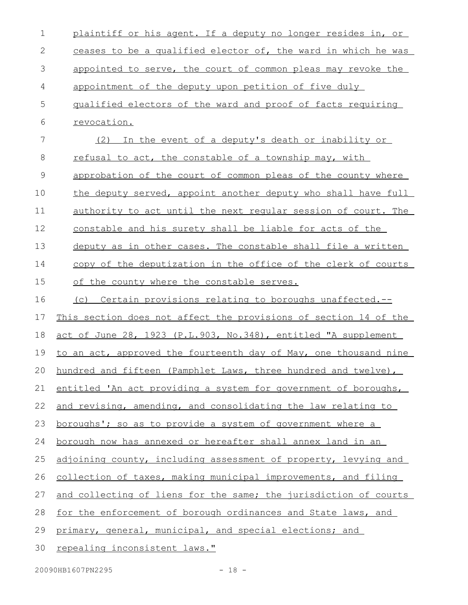| $\mathbf 1$ | plaintiff or his agent. If a deputy no longer resides in, or       |
|-------------|--------------------------------------------------------------------|
| 2           | ceases to be a qualified elector of, the ward in which he was      |
| 3           | appointed to serve, the court of common pleas may revoke the       |
| 4           | appointment of the deputy upon petition of five duly               |
| 5           | qualified electors of the ward and proof of facts requiring        |
| 6           | revocation.                                                        |
| 7           | (2) In the event of a deputy's death or inability or               |
| 8           | refusal to act, the constable of a township may, with              |
| $\mathsf 9$ | approbation of the court of common pleas of the county where       |
| 10          | the deputy served, appoint another deputy who shall have full      |
| 11          | authority to act until the next regular session of court. The      |
| 12          | constable and his surety shall be liable for acts of the           |
| 13          | deputy as in other cases. The constable shall file a written       |
| 14          | copy of the deputization in the office of the clerk of courts      |
| 15          | of the county where the constable serves.                          |
| 16          | (c) Certain provisions relating to boroughs unaffected.--          |
| 17          | This section does not affect the provisions of section 14 of the   |
| 18          | act of June 28, 1923 (P.L.903, No.348), entitled "A supplement     |
| 19          | to an act, approved the fourteenth day of May, one thousand nine   |
|             | 20 hundred and fifteen (Pamphlet Laws, three hundred and twelve),  |
| 21          | entitled 'An act providing a system for government of boroughs,    |
| 22          | and revising, amending, and consolidating the law relating to      |
| 23          | <u>boroughs'; so as to provide a system of government where a</u>  |
| 24          | <u>borough now has annexed or hereafter shall annex land in an</u> |
| 25          | adjoining county, including assessment of property, levying and    |
| 26          | collection of taxes, making municipal improvements, and filing     |
| 27          | and collecting of liens for the same; the jurisdiction of courts   |
| 28          | for the enforcement of borough ordinances and State laws, and      |
| 29          | primary, general, municipal, and special elections; and            |
| 30          | <u>repealing inconsistent laws."</u>                               |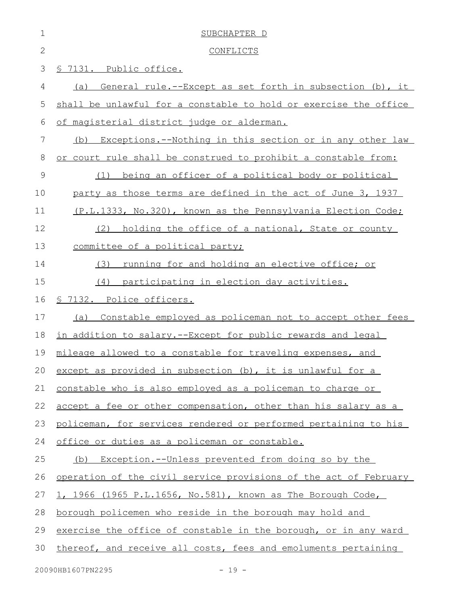| $\mathbf 1$   | SUBCHAPTER D                                                     |
|---------------|------------------------------------------------------------------|
| $\mathbf{2}$  | <b>CONFLICTS</b>                                                 |
| 3             | § 7131. Public office.                                           |
| 4             | General rule.--Except as set forth in subsection (b), it<br>(a)  |
| 5             | shall be unlawful for a constable to hold or exercise the office |
| 6             | of magisterial district judge or alderman.                       |
| 7             | Exceptions.--Nothing in this section or in any other law<br>(b)  |
| 8             | or court rule shall be construed to prohibit a constable from:   |
| $\mathcal{G}$ | being an officer of a political body or political<br>(1)         |
| 10            | party as those terms are defined in the act of June 3, 1937      |
| 11            | (P.L.1333, No.320), known as the Pennsylvania Election Code;     |
| 12            | holding the office of a national, State or county<br>(2)         |
| 13            | committee of a political party;                                  |
| 14            | running for and holding an elective office; or<br>(3)            |
| 15            | (4) participating in election day activities.                    |
| 16            | § 7132. Police officers.                                         |
| 17            | Constable employed as policeman not to accept other fees<br>(a)  |
| 18            | in addition to salary.--Except for public rewards and legal      |
| 19            | mileage allowed to a constable for traveling expenses, and       |
| 20            | except as provided in subsection (b), it is unlawful for a       |
| 21            | constable who is also employed as a policeman to charge or       |
| 22            | accept a fee or other compensation, other than his salary as a   |
| 23            | policeman, for services rendered or performed pertaining to his  |
| 24            | office or duties as a policeman or constable.                    |
| 25            | (b) Exception.--Unless prevented from doing so by the            |
| 26            | operation of the civil service provisions of the act of February |
| 27            | 1, 1966 (1965 P.L.1656, No.581), known as The Borough Code,      |
| 28            | borough policemen who reside in the borough may hold and         |
| 29            | exercise the office of constable in the borough, or in any ward  |
| 30            | thereof, and receive all costs, fees and emoluments pertaining   |
|               | 20090HB1607PN2295<br>$-19 -$                                     |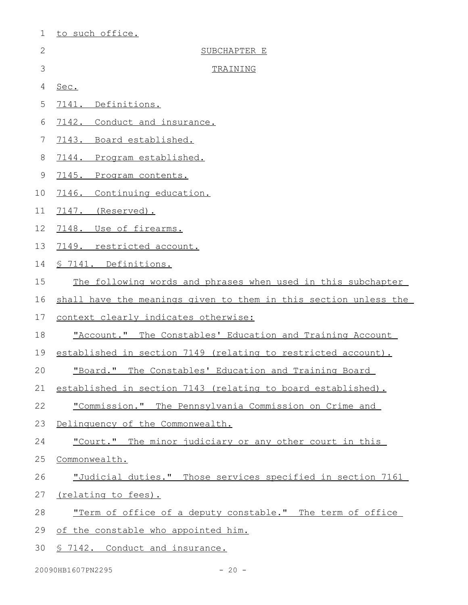| $\mathbf 1$  | to such office.                                                  |
|--------------|------------------------------------------------------------------|
| $\mathbf{2}$ | SUBCHAPTER E                                                     |
| 3            | TRAINING                                                         |
| 4            | Sec.                                                             |
| 5            | 7141. Definitions.                                               |
| 6            | 7142. Conduct and insurance.                                     |
| 7            | 7143. Board established.                                         |
| 8            | 7144. Program established.                                       |
| 9            | 7145. Program contents.                                          |
| 10           | 7146. Continuing education.                                      |
| 11           | 7147. (Reserved).                                                |
| 12           | 7148. Use of firearms.                                           |
| 13           | 7149. restricted account.                                        |
| 14           | § 7141. Definitions.                                             |
| 15           | The following words and phrases when used in this subchapter     |
| 16           | shall have the meanings given to them in this section unless the |
| 17           | context clearly indicates otherwise:                             |
| 18           | "Account." The Constables' Education and Training Account        |
| 19           | established in section 7149 (relating to restricted account).    |
| 20           | "Board." The Constables' Education and Training Board            |
| 21           | established in section 7143 (relating to board established).     |
| 22           | "Commission." The Pennsylvania Commission on Crime and           |
| 23           | Delinquency of the Commonwealth.                                 |
| 24           | "Court." The minor judiciary or any other court in this          |
| 25           | Commonwealth.                                                    |
| 26           | "Judicial duties." Those services specified in section 7161      |
| 27           | <u>(relating to fees).</u>                                       |
| 28           | "Term of office of a deputy constable." The term of office       |
| 29           | of the constable who appointed him.                              |
| 30           | <u>§ 7142. Conduct and insurance.</u>                            |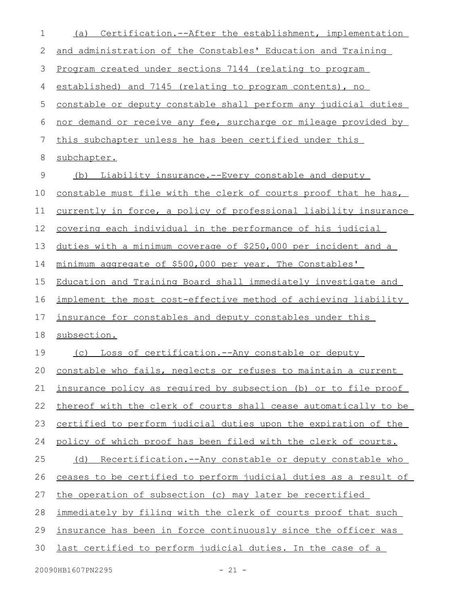| 1  | Certification.--After the establishment, implementation<br>(a)          |
|----|-------------------------------------------------------------------------|
| 2  | and administration of the Constables' Education and Training            |
| 3  | Program created under sections 7144 (relating to program                |
| 4  | established) and 7145 (relating to program contents), no                |
| 5  | constable or deputy constable shall perform any judicial duties         |
| 6  | nor demand or receive any fee, surcharge or mileage provided by         |
| 7  | this subchapter unless he has been certified under this                 |
| 8  | subchapter.                                                             |
| 9  | Liability insurance.--Every constable and deputy<br>(b)                 |
| 10 | constable must file with the clerk of courts proof that he has,         |
| 11 | <u>currently in force, a policy of professional liability insurance</u> |
| 12 | <u>covering each individual in the performance of his judicial</u>      |
| 13 | duties with a minimum coverage of \$250,000 per incident and a          |
| 14 | minimum aggregate of \$500,000 per year. The Constables'                |
| 15 | Education and Training Board shall immediately investigate and          |
| 16 | implement the most cost-effective method of achieving liability         |
| 17 | insurance for constables and deputy constables under this               |
| 18 | subsection.                                                             |
| 19 | Loss of certification.--Any constable or deputy<br>(C)                  |
| 20 | constable who fails, neglects or refuses to maintain a current          |
| 21 | insurance policy as required by subsection (b) or to file proof         |
| 22 | thereof with the clerk of courts shall cease automatically to be        |
| 23 | certified to perform judicial duties upon the expiration of the         |
| 24 | policy of which proof has been filed with the clerk of courts.          |
| 25 | (d) Recertification.--Any constable or deputy constable who             |
| 26 | ceases to be certified to perform judicial duties as a result of        |
| 27 | the operation of subsection (c) may later be recertified                |
| 28 | immediately by filing with the clerk of courts proof that such          |
| 29 | insurance has been in force continuously since the officer was          |
| 30 | last certified to perform judicial duties. In the case of a             |
|    |                                                                         |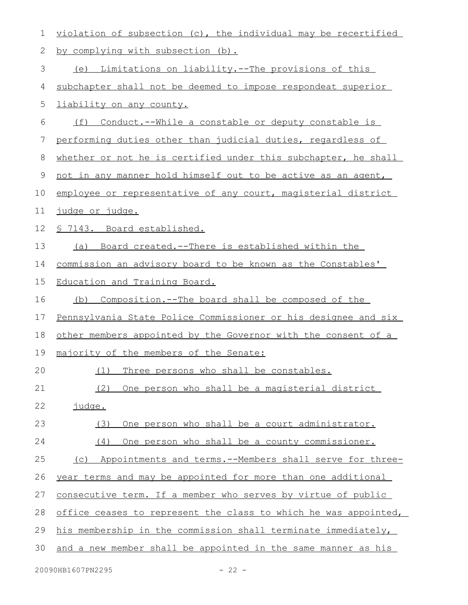| 1  | violation of subsection (c), the individual may be recertified  |
|----|-----------------------------------------------------------------|
| 2  | by complying with subsection (b).                               |
| 3  | (e) Limitations on liability.--The provisions of this           |
| 4  | subchapter shall not be deemed to impose respondeat superior    |
| 5  | liability on any county.                                        |
| 6  | Conduct.--While a constable or deputy constable is<br>(f)       |
| 7  | performing duties other than judicial duties, regardless of     |
| 8  | whether or not he is certified under this subchapter, he shall  |
| 9  | not in any manner hold himself out to be active as an agent,    |
| 10 | employee or representative of any court, magisterial district   |
| 11 | <u>judge or judge.</u>                                          |
| 12 | § 7143. Board established.                                      |
| 13 | (a) Board created.--There is established within the             |
| 14 | commission an advisory board to be known as the Constables'     |
| 15 | Education and Training Board.                                   |
| 16 | (b) Composition.--The board shall be composed of the            |
| 17 | Pennsylvania State Police Commissioner or his designee and six  |
| 18 | other members appointed by the Governor with the consent of a   |
| 19 | majority of the members of the Senate:                          |
| 20 | (1) Three persons who shall be constables.                      |
| 21 | (2)<br>One person who shall be a magisterial district           |
| 22 | iudge.                                                          |
| 23 | One person who shall be a court administrator.<br>(3)           |
| 24 | One person who shall be a county commissioner.<br>(4)           |
| 25 | (c) Appointments and terms.--Members shall serve for three-     |
| 26 | year terms and may be appointed for more than one additional    |
| 27 | consecutive term. If a member who serves by virtue of public    |
| 28 | office ceases to represent the class to which he was appointed, |
| 29 | his membership in the commission shall terminate immediately,   |
| 30 | and a new member shall be appointed in the same manner as his   |
|    |                                                                 |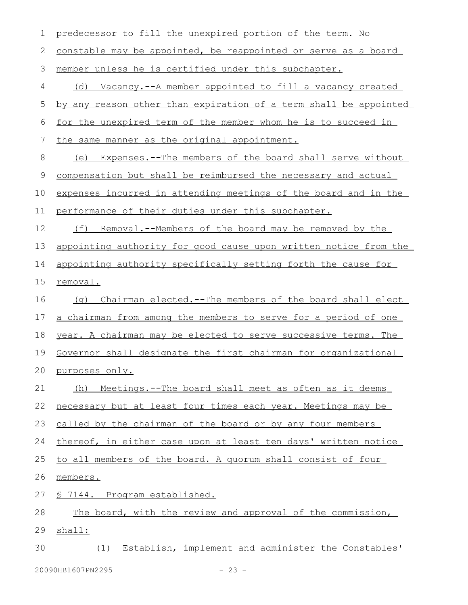| $\mathbf 1$   | predecessor to fill the unexpired portion of the term. No        |
|---------------|------------------------------------------------------------------|
| 2             | constable may be appointed, be reappointed or serve as a board   |
| $\mathcal{S}$ | member unless he is certified under this subchapter.             |
| 4             | (d) Vacancy.--A member appointed to fill a vacancy created       |
| 5             | by any reason other than expiration of a term shall be appointed |
| 6             | for the unexpired term of the member whom he is to succeed in    |
| 7             | the same manner as the original appointment.                     |
| 8             | (e) Expenses.--The members of the board shall serve without      |
| 9             | compensation but shall be reimbursed the necessary and actual    |
| 10            | expenses incurred in attending meetings of the board and in the  |
| 11            | performance of their duties under this subchapter.               |
| 12            | (f) Removal.--Members of the board may be removed by the         |
| 13            | appointing authority for good cause upon written notice from the |
| 14            | appointing authority specifically setting forth the cause for    |
| 15            | <u>removal.</u>                                                  |
| 16            | (q) Chairman elected.--The members of the board shall elect      |
| 17            | a chairman from among the members to serve for a period of one   |
| 18            | year. A chairman may be elected to serve successive terms. The   |
| 19            | Governor shall designate the first chairman for organizational   |
| 20            | purposes only.                                                   |
| 21            | (h) Meetings.--The board shall meet as often as it deems         |
| 22            | necessary but at least four times each year. Meetings may be     |
| 23            | called by the chairman of the board or by any four members       |
| 24            | thereof, in either case upon at least ten days' written notice   |
| 25            | to all members of the board. A quorum shall consist of four      |
| 26            | members.                                                         |
| 27            | <u>§ 7144. Program established.</u>                              |
| 28            | The board, with the review and approval of the commission,       |
| 29            | shall:                                                           |
| 30            | (1) Establish, implement and administer the Constables'          |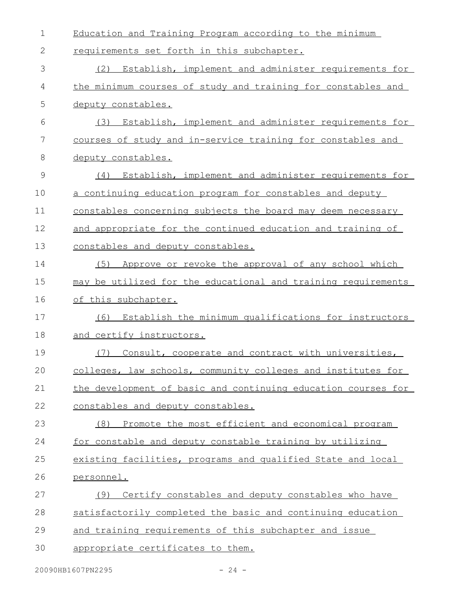| $\mathbf 1$ | Education and Training Program according to the minimum       |
|-------------|---------------------------------------------------------------|
| 2           | requirements set forth in this subchapter.                    |
| 3           | Establish, implement and administer requirements for<br>(2)   |
| 4           | the minimum courses of study and training for constables and  |
| 5           | deputy constables.                                            |
| 6           | Establish, implement and administer requirements for<br>(3)   |
| 7           | courses of study and in-service training for constables and   |
| 8           | deputy constables.                                            |
| 9           | Establish, implement and administer requirements for<br>(4)   |
| 10          | a continuing education program for constables and deputy      |
| 11          | constables concerning subjects the board may deem necessary   |
| 12          | and appropriate for the continued education and training of   |
| 13          | constables and deputy constables.                             |
| 14          | Approve or revoke the approval of any school which<br>(5)     |
| 15          | may be utilized for the educational and training requirements |
| 16          | of this subchapter.                                           |
| 17          | Establish the minimum qualifications for instructors<br>(6)   |
| 18          | and certify instructors.                                      |
| 19          | Consult, cooperate and contract with universities,<br>(7)     |
| 20          | colleges, law schools, community colleges and institutes for  |
| 21          | the development of basic and continuing education courses for |
| 22          | constables and deputy constables.                             |
| 23          | Promote the most efficient and economical program<br>(8)      |
| 24          | for constable and deputy constable training by utilizing      |
| 25          | existing facilities, programs and qualified State and local   |
| 26          | personnel.                                                    |
| 27          | Certify constables and deputy constables who have<br>(9)      |
| 28          | satisfactorily completed the basic and continuing education   |
| 29          | and training requirements of this subchapter and issue        |
| 30          | appropriate certificates to them.                             |
|             |                                                               |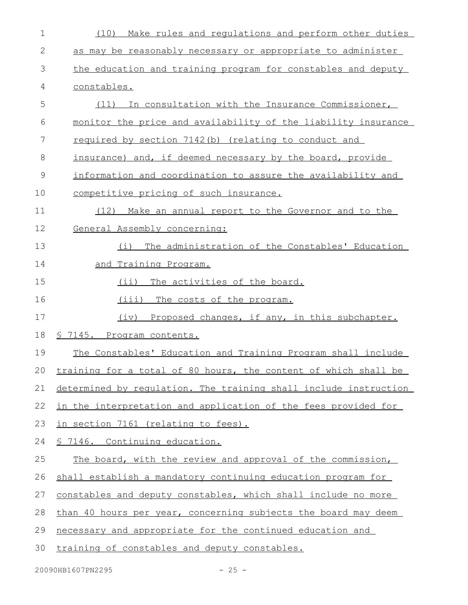| 1  | Make rules and regulations and perform other duties<br>(10)        |
|----|--------------------------------------------------------------------|
| 2  | as may be reasonably necessary or appropriate to administer        |
| 3  | the education and training program for constables and deputy       |
| 4  | constables.                                                        |
| 5  | (11) In consultation with the Insurance Commissioner,              |
| 6  | monitor the price and availability of the liability insurance      |
| 7  | required by section 7142(b) (relating to conduct and               |
| 8  | insurance) and, if deemed necessary by the board, provide          |
| 9  | information and coordination to assure the availability and        |
| 10 | competitive pricing of such insurance.                             |
| 11 | Make an annual report to the Governor and to the<br>(12)           |
| 12 | General Assembly concerning:                                       |
| 13 | The administration of the Constables' Education<br>(i)             |
| 14 | <u>and Training Program.</u>                                       |
| 15 | (ii) The activities of the board.                                  |
| 16 | (iii)<br>The costs of the program.                                 |
| 17 | Proposed changes, if any, in this subchapter.<br>(iv)              |
| 18 | § 7145. Program contents.                                          |
| 19 | The Constables' Education and Training Program shall include       |
|    | 20 training for a total of 80 hours, the content of which shall be |
| 21 | determined by requlation. The training shall include instruction   |
| 22 | in the interpretation and application of the fees provided for     |
| 23 | in section 7161 (relating to fees).                                |
| 24 | § 7146. Continuing education.                                      |
| 25 | The board, with the review and approval of the commission,         |
| 26 | shall establish a mandatory continuing education program for       |
| 27 | constables and deputy constables, which shall include no more      |
| 28 | than 40 hours per year, concerning subjects the board may deem     |
| 29 | necessary and appropriate for the continued education and          |
| 30 | training of constables and deputy constables.                      |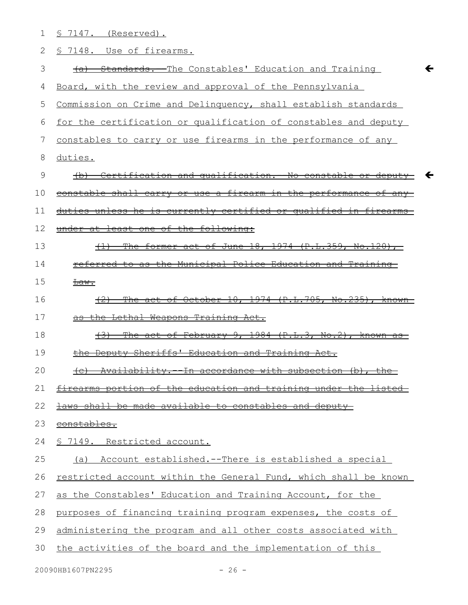| 1  | $$7147.$ (Reserved).                                                  |
|----|-----------------------------------------------------------------------|
| 2  | § 7148. Use of firearms.                                              |
| 3  | -Standards.--The Constables' Education and Training<br>$+a$           |
| 4  | Board, with the review and approval of the Pennsylvania               |
| 5  | Commission on Crime and Delinquency, shall establish standards        |
| 6  | for the certification or qualification of constables and deputy       |
| 7  | constables to carry or use firearms in the performance of any         |
| 8  | duties.                                                               |
| 9  | (b) Certification and qualification. No constable or deputy<br>←      |
| 10 | constable shall carry or use a firearm in the performance of any      |
| 11 | duties unless he is currently certified or qualified in firearms      |
| 12 | under at least one of the following:                                  |
| 13 | The former act of June 18, 1974 (P.L.359, No.120),<br>$\overline{+)}$ |
| 14 | referred to as the Municipal Police Education and Training            |
| 15 | <del>Law.</del>                                                       |
| 16 | (2) The act of October 10, 1974 (P.L.705, No.235), known              |
| 17 | as the Lethal Weapons Training Act.                                   |
| 18 | The act of February 9, 1984 (P.L.3, No.2), known as<br>$+3+$          |
| 19 | the Deputy Sheriffs' Education and Training Act.                      |
| 20 | $(n)$ $\lambda$<br>$+ h \sim$                                         |
| 21 | firearms portion of the education and training under the listed       |
| 22 | laws shall be made available to constables and deputy-                |
| 23 | <del>constables.</del>                                                |
| 24 | § 7149. Restricted account.                                           |
| 25 | Account established.--There is established a special<br>(a)           |
| 26 | restricted account within the General Fund, which shall be known      |
| 27 | as the Constables' Education and Training Account, for the            |
| 28 | purposes of financing training program expenses, the costs of         |
| 29 | administering the program and all other costs associated with         |
| 30 | the activities of the board and the implementation of this            |
|    |                                                                       |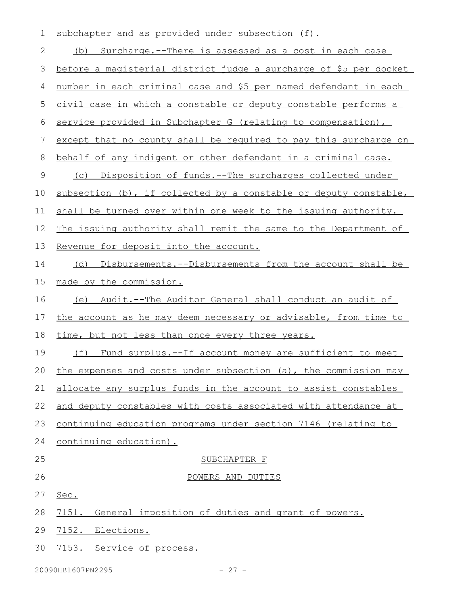| $\mathbf 1$ | subchapter and as provided under subsection (f).                     |
|-------------|----------------------------------------------------------------------|
| 2           | (b) Surcharge.--There is assessed as a cost in each case             |
| 3           | before a magisterial district judge a surcharge of \$5 per docket    |
| 4           | number in each criminal case and \$5 per named defendant in each     |
| 5           | civil case in which a constable or deputy constable performs a       |
| 6           | service provided in Subchapter G (relating to compensation),         |
| 7           | except that no county shall be required to pay this surcharge on     |
| 8           | behalf of any indigent or other defendant in a criminal case.        |
| $\mathsf 9$ | (c) Disposition of funds.--The surcharges collected under            |
| 10          | subsection (b), if collected by a constable or deputy constable,     |
| 11          | shall be turned over within one week to the issuing authority.       |
| 12          | The issuing authority shall remit the same to the Department of      |
| 13          | Revenue for deposit into the account.                                |
| 14          | (d) Disbursements.--Disbursements from the account shall be          |
| 15          | made by the commission.                                              |
| 16          | Audit.--The Auditor General shall conduct an audit of<br>(e)         |
| 17          | the account as he may deem necessary or advisable, from time to      |
| 18          | time, but not less than once every three years.                      |
| 19          | (f)<br><u>Fund surplus.--If account money are sufficient to meet</u> |
| 20          | the expenses and costs under subsection (a), the commission may      |
| 21          | allocate any surplus funds in the account to assist constables       |
| 22          | and deputy constables with costs associated with attendance at       |
| 23          | continuing education programs under section 7146 (relating to        |
| 24          | continuing education).                                               |
| 25          | SUBCHAPTER F                                                         |
| 26          | POWERS AND DUTIES                                                    |
| 27          | Sec.                                                                 |
| 28          | 7151.<br>General imposition of duties and grant of powers.           |
| 29          | 7152. Elections.                                                     |
| 30          | 7153. Service of process.                                            |
|             |                                                                      |

20090HB1607PN2295 - 27 -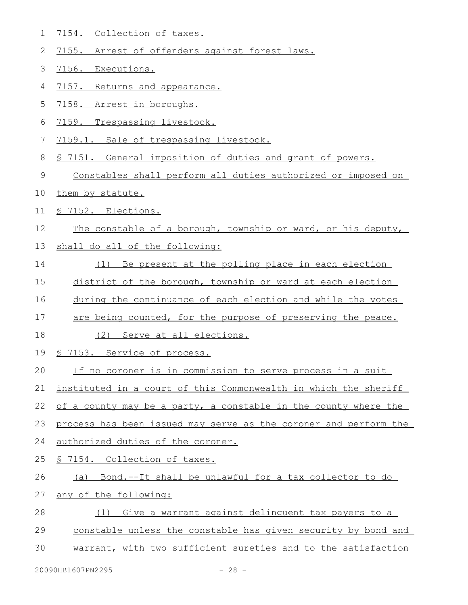- 7154. Collection of taxes. 1
- 7155. Arrest of offenders against forest laws. 2
- 7156. Executions. 3
- 7157. Returns and appearance. 4
- 7158. Arrest in boroughs. 5
- 7159. Trespassing livestock. 6
- 7159.1. Sale of trespassing livestock. 7
- § 7151. General imposition of duties and grant of powers. 8
- Constables shall perform all duties authorized or imposed on 9
- them by statute. 10
- § 7152. Elections. 11
- The constable of a borough, township or ward, or his deputy, 12
- shall do all of the following: 13
- (1) Be present at the polling place in each election 14
- district of the borough, township or ward at each election 15
- during the continuance of each election and while the votes 16
- are being counted, for the purpose of preserving the peace. 17
- (2) Serve at all elections. 18
- § 7153. Service of process. 19
- If no coroner is in commission to serve process in a suit 20
- instituted in a court of this Commonwealth in which the sheriff 21
- of a county may be a party, a constable in the county where the 22
- process has been issued may serve as the coroner and perform the 23
- authorized duties of the coroner. 24
- § 7154. Collection of taxes. 25
- (a) Bond.--It shall be unlawful for a tax collector to do 26
- any of the following: 27
- (1) Give a warrant against delinquent tax payers to a 28
- constable unless the constable has given security by bond and 29
- warrant, with two sufficient sureties and to the satisfaction 30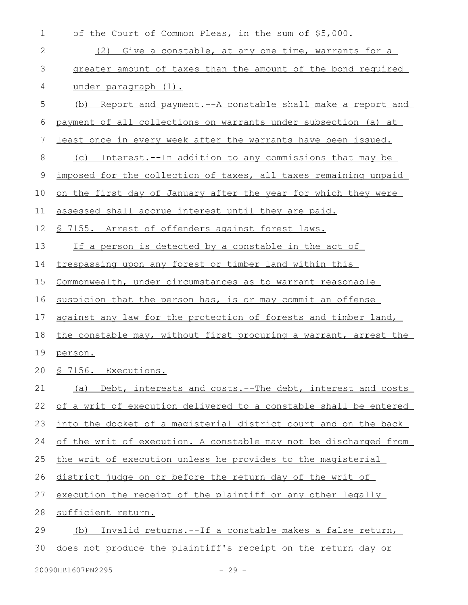| $\mathbf 1$ | of the Court of Common Pleas, in the sum of \$5,000.             |
|-------------|------------------------------------------------------------------|
| 2           | Give a constable, at any one time, warrants for a<br>(2)         |
| 3           | greater amount of taxes than the amount of the bond required     |
| 4           | under paragraph (1).                                             |
| 5           | (b) Report and payment.--A constable shall make a report and     |
| 6           | payment of all collections on warrants under subsection (a) at   |
| 7           | least once in every week after the warrants have been issued.    |
| 8           | Interest.--In addition to any commissions that may be<br>(C)     |
| 9           | imposed for the collection of taxes, all taxes remaining unpaid  |
| 10          | on the first day of January after the year for which they were   |
| 11          | assessed shall accrue interest until they are paid.              |
| 12          | § 7155. Arrest of offenders against forest laws.                 |
| 13          | If a person is detected by a constable in the act of             |
| 14          | trespassing upon any forest or timber land within this           |
| 15          | Commonwealth, under circumstances as to warrant reasonable       |
| 16          | suspicion that the person has, is or may commit an offense       |
| 17          | against any law for the protection of forests and timber land,   |
| 18          | the constable may, without first procuring a warrant, arrest the |
| 19          | person.                                                          |
|             | 20 <u>§ 7156. Executions.</u>                                    |
| 21          | (a) Debt, interests and costs.--The debt, interest and costs     |
| 22          | of a writ of execution delivered to a constable shall be entered |
| 23          | into the docket of a magisterial district court and on the back  |
| 24          | of the writ of execution. A constable may not be discharged from |
| 25          | the writ of execution unless he provides to the magisterial      |
| 26          | district judge on or before the return day of the writ of        |
| 27          | execution the receipt of the plaintiff or any other legally      |
| 28          | sufficient return.                                               |
| 29          | Invalid returns.--If a constable makes a false return,<br>(b)    |
| 30          | does not produce the plaintiff's receipt on the return day or    |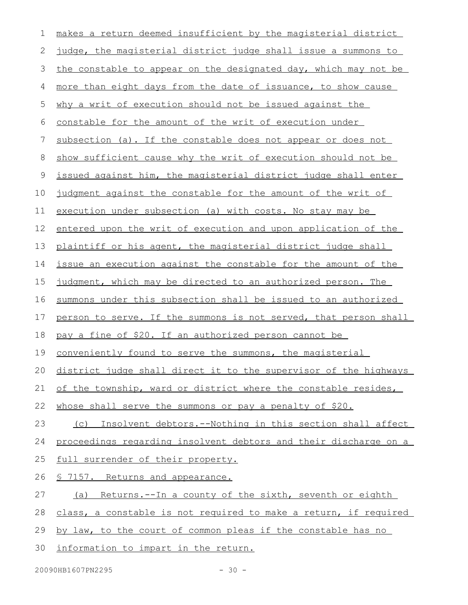| 1  | makes a return deemed insufficient by the magisterial district      |
|----|---------------------------------------------------------------------|
| 2  | judge, the magisterial district judge shall issue a summons to      |
| 3  | the constable to appear on the designated day, which may not be     |
| 4  | more than eight days from the date of issuance, to show cause       |
| 5  | why a writ of execution should not be issued against the            |
| 6  | constable for the amount of the writ of execution under             |
| 7  | subsection (a). If the constable does not appear or does not        |
| 8  | show sufficient cause why the writ of execution should not be       |
| 9  | issued against him, the magisterial district judge shall enter      |
| 10 | judgment against the constable for the amount of the writ of        |
| 11 | execution under subsection (a) with costs. No stay may be           |
| 12 | entered upon the writ of execution and upon application of the      |
| 13 | plaintiff or his agent, the magisterial district judge shall        |
| 14 | issue an execution against the constable for the amount of the      |
| 15 | judgment, which may be directed to an authorized person. The        |
| 16 | summons under this subsection shall be issued to an authorized      |
| 17 | person to serve. If the summons is not served, that person shall    |
| 18 | pay a fine of \$20. If an authorized person cannot be               |
| 19 | conveniently found to serve the summons, the magisterial            |
|    | 20 district judge shall direct it to the supervisor of the highways |
| 21 | of the township, ward or district where the constable resides,      |
| 22 | whose shall serve the summons or pay a penalty of \$20.             |
| 23 | Insolvent debtors.--Nothing in this section shall affect<br>(C)     |
| 24 | proceedings regarding insolvent debtors and their discharge on a    |
| 25 | full surrender of their property.                                   |
| 26 | <u>S 7157. Returns and appearance.</u>                              |
| 27 | Returns.--In a county of the sixth, seventh or eighth<br>(a)        |
| 28 | class, a constable is not required to make a return, if required    |
| 29 | by law, to the court of common pleas if the constable has no        |

30 information to impart in the return.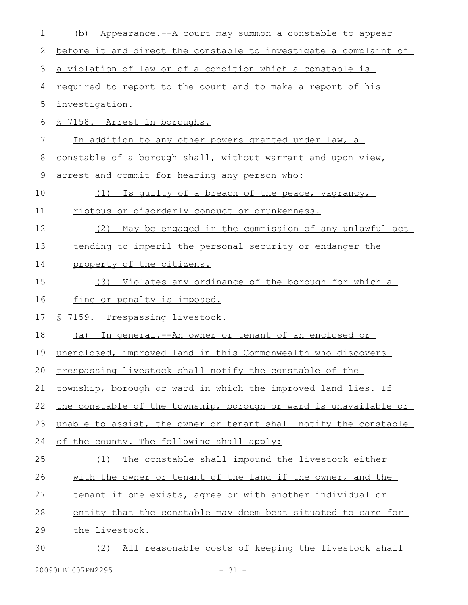| 1  | Appearance.--A court may summon a constable to appear<br>(b)     |
|----|------------------------------------------------------------------|
| 2  | before it and direct the constable to investigate a complaint of |
| 3  | a violation of law or of a condition which a constable is        |
| 4  | required to report to the court and to make a report of his      |
| 5  | investigation.                                                   |
| 6  | § 7158. Arrest in boroughs.                                      |
| 7  | In addition to any other powers granted under law, a             |
| 8  | constable of a borough shall, without warrant and upon view,     |
| 9  | arrest and commit for hearing any person who:                    |
| 10 | (1) Is quilty of a breach of the peace, vagrancy,                |
| 11 | riotous or disorderly conduct or drunkenness.                    |
| 12 | (2) May be engaged in the commission of any unlawful act         |
| 13 | tending to imperil the personal security or endanger the         |
| 14 | property of the citizens.                                        |
| 15 | (3) Violates any ordinance of the borough for which a            |
| 16 | fine or penalty is imposed.                                      |
| 17 | <u>§ 7159. Trespassing livestock.</u>                            |
| 18 | In general.--An owner or tenant of an enclosed or<br>(a)         |
| 19 | unenclosed, improved land in this Commonwealth who discovers     |
|    | 20 trespassing livestock shall notify the constable of the       |
| 21 | township, borough or ward in which the improved land lies. If    |
| 22 | the constable of the township, borough or ward is unavailable or |
| 23 | unable to assist, the owner or tenant shall notify the constable |
| 24 | of the county. The following shall apply:                        |
| 25 | The constable shall impound the livestock either<br>(1)          |
| 26 | with the owner or tenant of the land if the owner, and the       |
| 27 | tenant if one exists, agree or with another individual or        |
| 28 | entity that the constable may deem best situated to care for     |
| 29 | the livestock.                                                   |
| 30 | All reasonable costs of keeping the livestock shall<br>(2)       |
|    |                                                                  |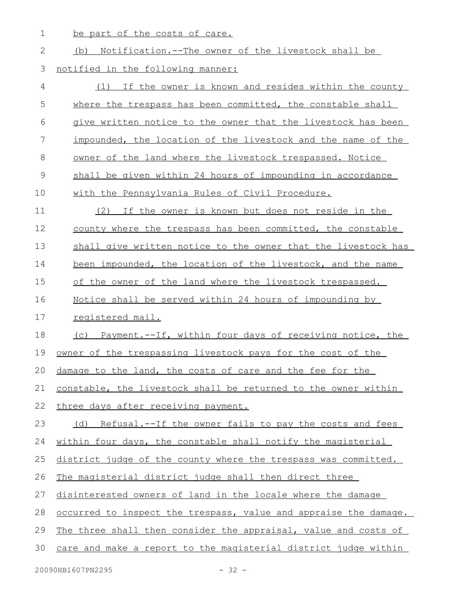1 be part of the costs of care.

| <u>Notification.--The owner of the livestock shall be</u><br>(b)        |
|-------------------------------------------------------------------------|
| notified in the following manner:                                       |
| If the owner is known and resides within the county<br>(1)              |
| where the trespass has been committed, the constable shall              |
| give written notice to the owner that the livestock has been            |
| impounded, the location of the livestock and the name of the            |
| owner of the land where the livestock trespassed. Notice                |
| shall be given within 24 hours of impounding in accordance              |
| with the Pennsylvania Rules of Civil Procedure.                         |
| (2) If the owner is known but does not reside in the                    |
| county where the trespass has been committed, the constable             |
| shall give written notice to the owner that the livestock has           |
| been impounded, the location of the livestock, and the name             |
| of the owner of the land where the livestock trespassed.                |
| Notice shall be served within 24 hours of impounding by                 |
| registered mail.                                                        |
| (c) Payment.--If, within four days of receiving notice, the             |
| owner of the trespassing livestock pays for the cost of the             |
| damage to the land, the costs of care and the fee for the               |
| constable, the livestock shall be returned to the owner within          |
| three days after receiving payment.                                     |
| (d) Refusal.--If the owner fails to pay the costs and fees              |
| within four days, the constable shall notify the magisterial            |
| district judge of the county where the trespass was committed.          |
| The magisterial district judge shall then direct three                  |
| disinterested owners of land in the locale where the damage             |
| <u>occurred to inspect the trespass, value and appraise the damage.</u> |
| The three shall then consider the appraisal, value and costs of         |
| care and make a report to the magisterial district judge within         |
|                                                                         |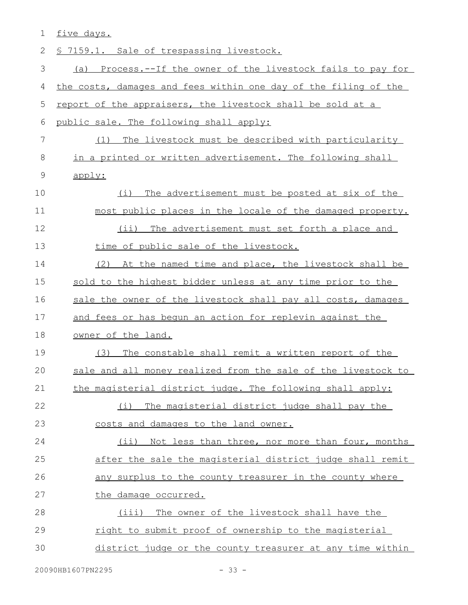|  | ∽ |  |
|--|---|--|
|  |   |  |

| 2           | § 7159.1. Sale of trespassing livestock.                        |
|-------------|-----------------------------------------------------------------|
| 3           | (a) Process.--If the owner of the livestock fails to pay for    |
| 4           | the costs, damages and fees within one day of the filing of the |
| 5           | report of the appraisers, the livestock shall be sold at a      |
| 6           | public sale. The following shall apply:                         |
| 7           | The livestock must be described with particularity<br>(1)       |
| 8           | in a printed or written advertisement. The following shall      |
| $\mathsf 9$ | apply:                                                          |
| 10          | The advertisement must be posted at six of the<br>(i)           |
| 11          | most public places in the locale of the damaged property.       |
| 12          | $(i$ i)<br>The advertisement must set forth a place and         |
| 13          | time of public sale of the livestock.                           |
| 14          | (2)<br>At the named time and place, the livestock shall be      |
| 15          | sold to the highest bidder unless at any time prior to the      |
| 16          | sale the owner of the livestock shall pay all costs, damages    |
| 17          | and fees or has begun an action for replevin against the        |
| 18          | owner of the land.                                              |
| 19          | The constable shall remit a written report of the<br>(3)        |
| 20          | sale and all money realized from the sale of the livestock to   |
| 21          | the magisterial district judge. The following shall apply:      |
| 22          | The magisterial district judge shall pay the<br>(i)             |
| 23          | costs and damages to the land owner.                            |
| 24          | (ii) Not less than three, nor more than four, months            |
| 25          | after the sale the magisterial district judge shall remit       |
| 26          | any surplus to the county treasurer in the county where         |
| 27          | the damage occurred.                                            |
| 28          | The owner of the livestock shall have the<br>(iii)              |
| 29          | right to submit proof of ownership to the magisterial           |
| 30          | district judge or the county treasurer at any time within       |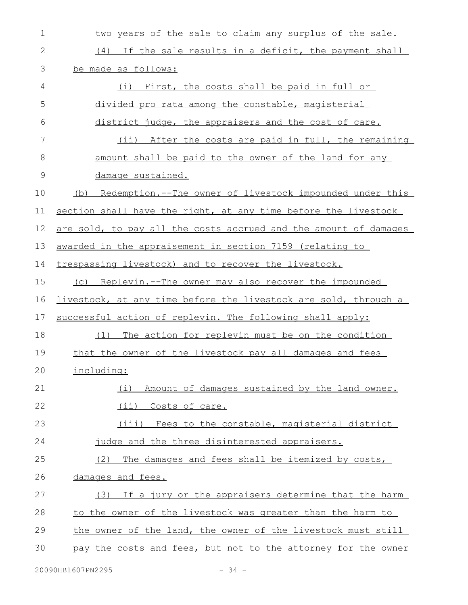| $\mathbf 1$ | two years of the sale to claim any surplus of the sale.          |
|-------------|------------------------------------------------------------------|
| 2           | (4) If the sale results in a deficit, the payment shall          |
| 3           | be made as follows:                                              |
| 4           | (i) First, the costs shall be paid in full or                    |
| 5           | divided pro rata among the constable, magisterial                |
| 6           | district judge, the appraisers and the cost of care.             |
| 7           | (ii) After the costs are paid in full, the remaining             |
| 8           | amount shall be paid to the owner of the land for any            |
| 9           | damage sustained.                                                |
| 10          | Redemption.--The owner of livestock impounded under this<br>(b)  |
| 11          | section shall have the right, at any time before the livestock   |
| 12          | are sold, to pay all the costs accrued and the amount of damages |
| 13          | awarded in the appraisement in section 7159 (relating to         |
| 14          | trespassing livestock) and to recover the livestock.             |
| 15          | (c) Replevin.--The owner may also recover the impounded          |
| 16          | livestock, at any time before the livestock are sold, through a  |
| 17          | successful action of replevin. The following shall apply:        |
| 18          | The action for replevin must be on the condition<br>(1)          |
| 19          | that the owner of the livestock pay all damages and fees         |
| 20          | including:                                                       |
| 21          | Amount of damages sustained by the land owner.<br>(i)            |
| 22          | (ii) Costs of care.                                              |
| 23          | (iii) Fees to the constable, magisterial district                |
| 24          | judge and the three disinterested appraisers.                    |
| 25          | (2) The damages and fees shall be itemized by costs,             |
| 26          | damages and fees.                                                |
| 27          | (3) If a jury or the appraisers determine that the harm          |
| 28          | to the owner of the livestock was greater than the harm to       |
| 29          | the owner of the land, the owner of the livestock must still     |
| 30          | pay the costs and fees, but not to the attorney for the owner    |
|             |                                                                  |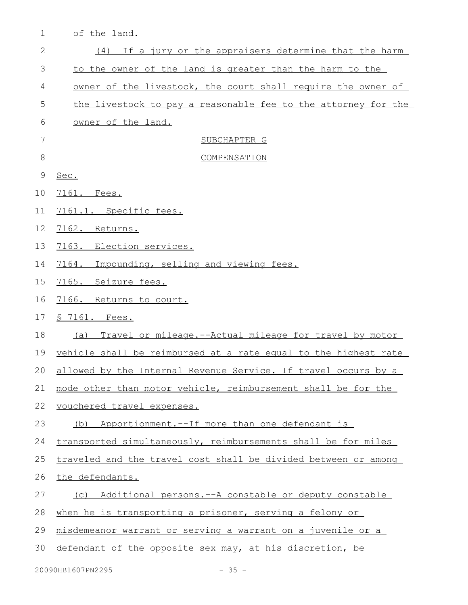| $\mathbf 1$ | of the land.                                                      |
|-------------|-------------------------------------------------------------------|
| 2           | (4) If a jury or the appraisers determine that the harm           |
| 3           | to the owner of the land is greater than the harm to the          |
| 4           | owner of the livestock, the court shall require the owner of      |
| 5           | the livestock to pay a reasonable fee to the attorney for the     |
| 6           | owner of the land.                                                |
| 7           | SUBCHAPTER G                                                      |
| 8           | COMPENSATION                                                      |
| 9           | Sec.                                                              |
| 10          | 7161. Fees.                                                       |
| 11          | 7161.1. Specific fees.                                            |
| 12          | 7162. Returns.                                                    |
| 13          | 7163. Election services.                                          |
| 14          | Impounding, selling and viewing fees.<br>7164.                    |
| 15          | 7165. Seizure fees.                                               |
| 16          | 7166. Returns to court.                                           |
| 17          | § 7161. Fees.                                                     |
| 18          | (a) Travel or mileage.--Actual mileage for travel by motor        |
| 19          | vehicle shall be reimbursed at a rate equal to the highest rate   |
|             | 20 allowed by the Internal Revenue Service. If travel occurs by a |
| 21          | mode other than motor vehicle, reimbursement shall be for the     |
| 22          | vouchered travel expenses.                                        |
| 23          | Apportionment.--If more than one defendant is<br>(b)              |
| 24          | transported simultaneously, reimbursements shall be for miles     |
| 25          | traveled and the travel cost shall be divided between or among    |
| 26          | the defendants.                                                   |
| 27          | (c) Additional persons.--A constable or deputy constable          |
| 28          | when he is transporting a prisoner, serving a felony or           |
| 29          | misdemeanor warrant or serving a warrant on a juvenile or a       |
| 30          | defendant of the opposite sex may, at his discretion, be          |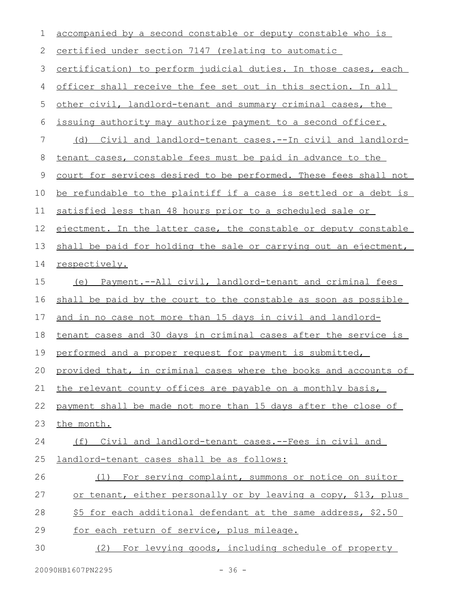| 1  | accompanied by a second constable or deputy constable who is        |
|----|---------------------------------------------------------------------|
| 2  | certified under section 7147 (relating to automatic                 |
| 3  | certification) to perform judicial duties. In those cases, each     |
| 4  | officer shall receive the fee set out in this section. In all       |
| 5  | other civil, landlord-tenant and summary criminal cases, the        |
| 6  | issuing authority may authorize payment to a second officer.        |
| 7  | <u>(d) Civil and landlord-tenant cases.--In civil and landlord-</u> |
| 8  | tenant cases, constable fees must be paid in advance to the         |
| 9  | court for services desired to be performed. These fees shall not    |
| 10 | be refundable to the plaintiff if a case is settled or a debt is    |
| 11 | satisfied less than 48 hours prior to a scheduled sale or           |
| 12 | ejectment. In the latter case, the constable or deputy constable    |
| 13 | shall be paid for holding the sale or carrying out an ejectment,    |
| 14 | respectively.                                                       |
| 15 | (e) Payment.--All civil, landlord-tenant and criminal fees          |
| 16 | shall be paid by the court to the constable as soon as possible     |
| 17 | and in no case not more than 15 days in civil and landlord-         |
| 18 | tenant cases and 30 days in criminal cases after the service is     |
| 19 | performed and a proper request for payment is submitted,            |
| 20 | provided that, in criminal cases where the books and accounts of    |
| 21 | the relevant county offices are payable on a monthly basis,         |
| 22 | payment shall be made not more than 15 days after the close of      |
| 23 | the month.                                                          |
| 24 | (f) Civil and landlord-tenant cases.--Fees in civil and             |
| 25 | landlord-tenant cases shall be as follows:                          |
| 26 | (1) For serving complaint, summons or notice on suitor              |
| 27 | or tenant, either personally or by leaving a copy, \$13, plus       |
| 28 | \$5 for each additional defendant at the same address, \$2.50       |
| 29 | for each return of service, plus mileage.                           |
| 30 | (2) For levying goods, including schedule of property               |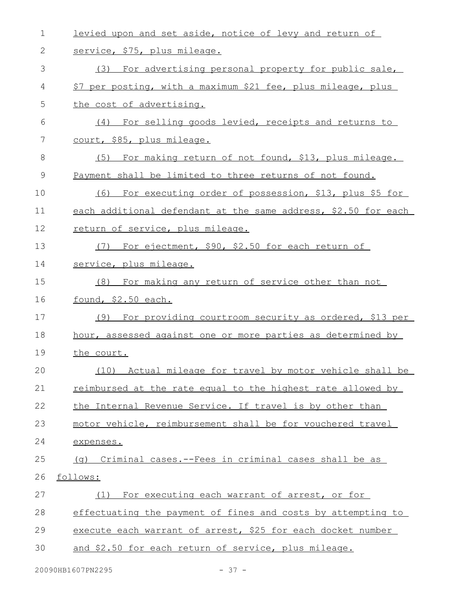| $\mathbf 1$ | levied upon and set aside, notice of levy and return of        |
|-------------|----------------------------------------------------------------|
| 2           | service, \$75, plus mileage.                                   |
| 3           | (3) For advertising personal property for public sale,         |
| 4           | \$7 per posting, with a maximum \$21 fee, plus mileage, plus   |
| 5           | the cost of advertising.                                       |
| 6           | For selling goods levied, receipts and returns to<br>(4)       |
| 7           | court, \$85, plus mileage.                                     |
| 8           | (5) For making return of not found, \$13, plus mileage.        |
| 9           | Payment shall be limited to three returns of not found.        |
| 10          | For executing order of possession, \$13, plus \$5 for<br>(6)   |
| 11          | each additional defendant at the same address, \$2.50 for each |
| 12          | return of service, plus mileage.                               |
| 13          | For ejectment, \$90, \$2.50 for each return of<br>(7)          |
| 14          | service, plus mileage.                                         |
| 15          | (8) For making any return of service other than not            |
| 16          | found, \$2.50 each.                                            |
| 17          | (9) For providing courtroom security as ordered, \$13 per      |
| 18          | hour, assessed against one or more parties as determined by    |
| 19          | the court.                                                     |
| 20          | (10) Actual mileage for travel by motor vehicle shall be       |
| 21          | reimbursed at the rate equal to the highest rate allowed by    |
| 22          | the Internal Revenue Service. If travel is by other than       |
| 23          | motor vehicle, reimbursement shall be for vouchered travel     |
| 24          | expenses.                                                      |
| 25          | (q) Criminal cases.--Fees in criminal cases shall be as        |
| 26          | follows:                                                       |
| 27          | (1) For executing each warrant of arrest, or for               |
| 28          | effectuating the payment of fines and costs by attempting to   |
| 29          | execute each warrant of arrest, \$25 for each docket number    |
| 30          | and \$2.50 for each return of service, plus mileage.           |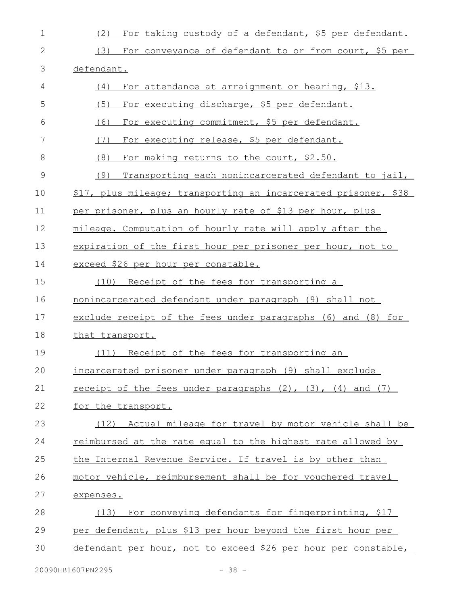| $\mathbf 1$   | For taking custody of a defendant, \$5 per defendant.<br>(2)         |
|---------------|----------------------------------------------------------------------|
| 2             | (3) For conveyance of defendant to or from court, \$5 per            |
| 3             | defendant.                                                           |
| 4             | For attendance at arraignment or hearing, \$13.<br>(4)               |
| 5             | (5)<br>For executing discharge, \$5 per defendant.                   |
| 6             | For executing commitment, \$5 per defendant.<br>(6)                  |
| 7             | (7)<br>For executing release, \$5 per defendant.                     |
| 8             | (8)<br>For making returns to the court, \$2.50.                      |
| $\mathcal{G}$ | (9)<br>Transporting each nonincarcerated defendant to jail,          |
| 10            | \$17, plus mileage; transporting an incarcerated prisoner, \$38      |
| 11            | per prisoner, plus an hourly rate of \$13 per hour, plus             |
| 12            | mileage. Computation of hourly rate will apply after the             |
| 13            | expiration of the first hour per prisoner per hour, not to           |
| 14            | exceed \$26 per hour per constable.                                  |
| 15            | Receipt of the fees for transporting a<br>(10)                       |
| 16            | nonincarcerated defendant under paragraph (9) shall not              |
| 17            | exclude receipt of the fees under paragraphs (6) and (8) for         |
| 18            | that transport.                                                      |
| 19            | Receipt of the fees for transporting an<br>(11)                      |
| 20            | incarcerated prisoner under paragraph (9) shall exclude              |
| 21            | receipt of the fees under paragraphs $(2)$ , $(3)$ , $(4)$ and $(7)$ |
| 22            | for the transport.                                                   |
| 23            | Actual mileage for travel by motor vehicle shall be<br>(12)          |
| 24            | reimbursed at the rate equal to the highest rate allowed by          |
| 25            | the Internal Revenue Service. If travel is by other than             |
| 26            | motor vehicle, reimbursement shall be for vouchered travel           |
| 27            | expenses.                                                            |
| 28            | For conveying defendants for fingerprinting, \$17<br>(13)            |
| 29            | per defendant, plus \$13 per hour beyond the first hour per          |
| 30            | defendant per hour, not to exceed \$26 per hour per constable,       |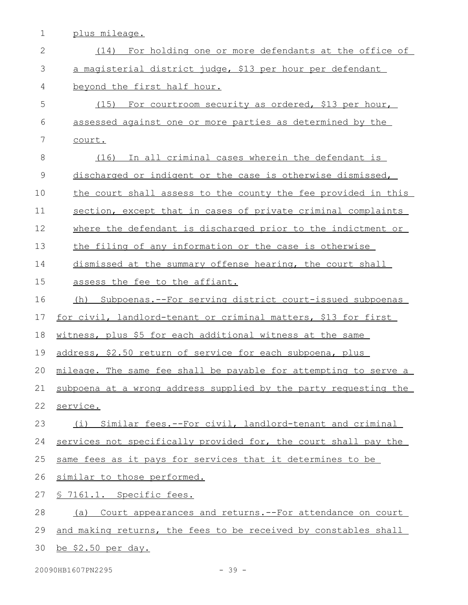1 plus mileage.

| $\mathbf{2}$ | For holding one or more defendants at the office of<br>(14)      |
|--------------|------------------------------------------------------------------|
| 3            | a magisterial district judge, \$13 per hour per defendant        |
| 4            | beyond the first half hour.                                      |
| 5            | (15) For courtroom security as ordered, \$13 per hour,           |
| 6            | assessed against one or more parties as determined by the        |
| 7            | court.                                                           |
| 8            | (16) In all criminal cases wherein the defendant is              |
| $\mathsf 9$  | discharged or indigent or the case is otherwise dismissed,       |
| 10           | the court shall assess to the county the fee provided in this    |
| 11           | section, except that in cases of private criminal complaints     |
| 12           | where the defendant is discharged prior to the indictment or     |
| 13           | the filing of any information or the case is otherwise           |
| 14           | dismissed at the summary offense hearing, the court shall        |
| 15           | assess the fee to the affiant.                                   |
| 16           | Subpoenas. -- For serving district court-issued subpoenas<br>(h) |
| 17           | for civil, landlord-tenant or criminal matters, \$13 for first   |
| 18           | witness, plus \$5 for each additional witness at the same        |
| 19           | address, \$2.50 return of service for each subpoena, plus        |
| 20           | mileage. The same fee shall be payable for attempting to serve a |
| 21           | subpoena at a wrong address supplied by the party requesting the |
| 22           | service.                                                         |
| 23           | (i) Similar fees.--For civil, landlord-tenant and criminal       |
| 24           | services not specifically provided for, the court shall pay the  |
| 25           | same fees as it pays for services that it determines to be       |
| 26           | similar to those performed.                                      |
| 27           | § 7161.1. Specific fees.                                         |
| 28           | (a) Court appearances and returns. -- For attendance on court    |
| 29           | and making returns, the fees to be received by constables shall  |
| 30           | be \$2.50 per day.                                               |

20090HB1607PN2295 - 39 -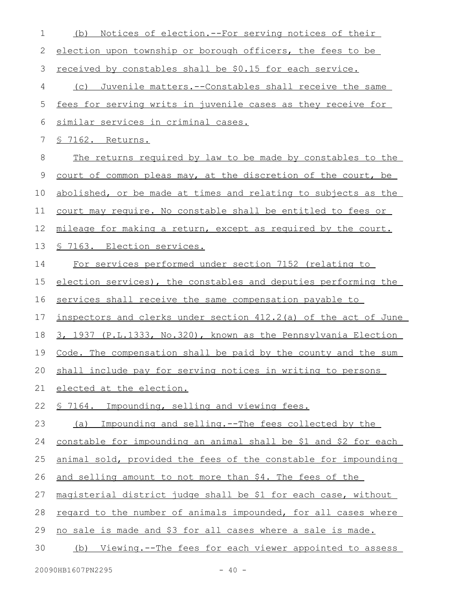| $\mathbf 1$ | (b) Notices of election.--For serving notices of their           |
|-------------|------------------------------------------------------------------|
| 2           | election upon township or borough officers, the fees to be       |
| 3           | received by constables shall be \$0.15 for each service.         |
| 4           | (c) Juvenile matters.--Constables shall receive the same         |
| 5           | fees for serving writs in juvenile cases as they receive for     |
| 6           | similar services in criminal cases.                              |
| 7           | § 7162. Returns.                                                 |
| 8           | The returns required by law to be made by constables to the      |
| 9           | court of common pleas may, at the discretion of the court, be    |
| 10          | abolished, or be made at times and relating to subjects as the   |
| 11          | court may require. No constable shall be entitled to fees or     |
| 12          | mileage for making a return, except as required by the court.    |
| 13          | <u>S 7163. Election services.</u>                                |
| 14          | For services performed under section 7152 (relating to           |
| 15          | election services), the constables and deputies performing the   |
| 16          | services shall receive the same compensation payable to          |
| 17          | inspectors and clerks under section 412.2(a) of the act of June  |
| 18          | 3, 1937 (P.L.1333, No.320), known as the Pennsylvania Election   |
| 19          | Code. The compensation shall be paid by the county and the sum   |
|             | 20 shall include pay for serving notices in writing to persons   |
| 21          | elected at the election.                                         |
| 22          | <u>S 7164. Impounding, selling and viewing fees.</u>             |
| 23          | (a) Impounding and selling.--The fees collected by the           |
| 24          | constable for impounding an animal shall be \$1 and \$2 for each |
| 25          | animal sold, provided the fees of the constable for impounding   |
| 26          | and selling amount to not more than \$4. The fees of the         |
| 27          | magisterial district judge shall be \$1 for each case, without   |
| 28          | regard to the number of animals impounded, for all cases where   |
| 29          | no sale is made and \$3 for all cases where a sale is made.      |
|             |                                                                  |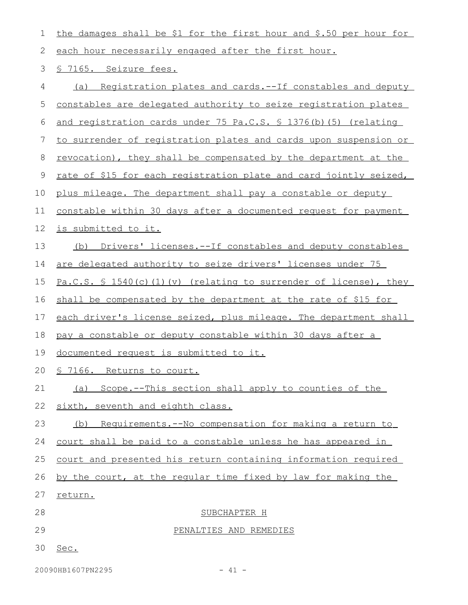| 1  | the damages shall be \$1 for the first hour and \$.50 per hour for       |
|----|--------------------------------------------------------------------------|
| 2  | each hour necessarily engaged after the first hour.                      |
| 3  | § 7165. Seizure fees.                                                    |
| 4  | (a) Registration plates and cards.--If constables and deputy             |
| 5  | constables are delegated authority to seize registration plates          |
| 6  | and registration cards under 75 Pa.C.S. § 1376(b) (5) (relating          |
| 7  | <u>to surrender of registration plates and cards upon suspension or</u>  |
| 8  | <u>revocation), they shall be compensated by the department at the</u>   |
| 9  | <u>rate of \$15 for each registration plate and card jointly seized,</u> |
| 10 | plus mileage. The department shall pay a constable or deputy             |
| 11 | constable within 30 days after a documented request for payment          |
| 12 | is submitted to it.                                                      |
| 13 | (b) Drivers' licenses.--If constables and deputy constables              |
| 14 | are delegated authority to seize drivers' licenses under 75              |
| 15 | $Pa.C.S. S 1540(c) (1) (v)$ (relating to surrender of license), they     |
| 16 | shall be compensated by the department at the rate of \$15 for           |
| 17 | each driver's license seized, plus mileage. The department shall         |
| 18 | pay a constable or deputy constable within 30 days after a               |
| 19 | documented request is submitted to it.                                   |
|    | 20 § 7166. Returns to court.                                             |
| 21 | (a) Scope.--This section shall apply to counties of the                  |
| 22 | sixth, seventh and eighth class.                                         |
| 23 | (b) Requirements. -- No compensation for making a return to              |
| 24 | court shall be paid to a constable unless he has appeared in             |
| 25 | court and presented his return containing information required           |
| 26 | by the court, at the regular time fixed by law for making the            |
| 27 | return.                                                                  |
| 28 | SUBCHAPTER H                                                             |
| 29 | PENALTIES AND REMEDIES                                                   |
| 30 | Sec.                                                                     |
|    |                                                                          |

20090HB1607PN2295 - 41 -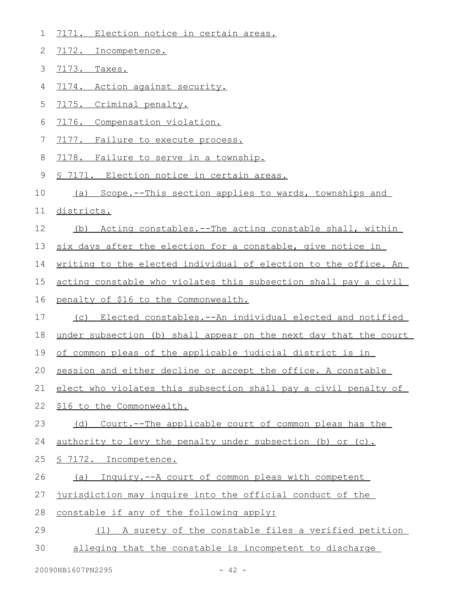1 7171. Election notice in certain areas.

2 7172. Incompetence.

| 3  | 7173.<br>Taxes.                                                  |
|----|------------------------------------------------------------------|
| 4  | 7174. Action against security.                                   |
| 5  | 7175. Criminal penalty.                                          |
| 6  | 7176.<br>Compensation violation.                                 |
| 7  | 7177.<br>Failure to execute process.                             |
| 8  | 7178. Failure to serve in a township.                            |
| 9  | <u>7171. Election notice in certain areas.</u>                   |
| 10 | Scope.--This section applies to wards, townships and<br>(a)      |
| 11 | districts.                                                       |
| 12 | (b) Acting constables.--The acting constable shall, within       |
| 13 | six days after the election for a constable, give notice in      |
| 14 | writing to the elected individual of election to the office. An  |
| 15 | acting constable who violates this subsection shall pay a civil  |
| 16 | penalty of \$16 to the Commonwealth.                             |
| 17 | (c) Elected constables.--An individual elected and notified      |
| 18 | under subsection (b) shall appear on the next day that the court |
| 19 | of common pleas of the applicable judicial district is in        |
| 20 | session and either decline or accept the office. A constable     |
| 21 | elect who violates this subsection shall pay a civil penalty of  |
| 22 | \$16 to the Commonwealth.                                        |
| 23 | (d)<br>Court.--The applicable court of common pleas has the      |
| 24 | authority to levy the penalty under subsection (b) or (c).       |
| 25 | § 7172. Incompetence.                                            |
| 26 | Inquiry.--A court of common pleas with competent<br>(a)          |
| 27 | jurisdiction may inquire into the official conduct of the        |
| 28 | constable if any of the following apply:                         |
| 29 | A surety of the constable files a verified petition<br>(1)       |
| 30 | alleging that the constable is incompetent to discharge          |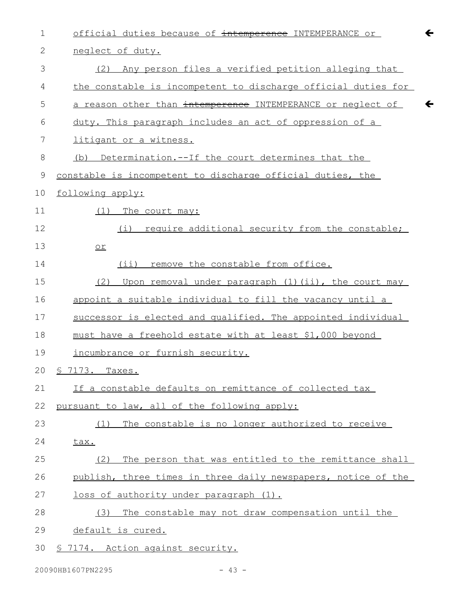| $\mathbf 1$  | official duties because of intemperence INTEMPERANCE or       |
|--------------|---------------------------------------------------------------|
| $\mathbf{2}$ | neglect of duty.                                              |
| 3            | Any person files a verified petition alleging that<br>(2)     |
| 4            | the constable is incompetent to discharge official duties for |
| 5            | a reason other than intemperence INTEMPERANCE or neglect of   |
| 6            | duty. This paragraph includes an act of oppression of a       |
| 7            | litigant or a witness.                                        |
| 8            | Determination.--If the court determines that the<br>(b)       |
| $\mathsf 9$  | constable is incompetent to discharge official duties, the    |
| 10           | following apply:                                              |
| 11           | (1) The court may:                                            |
| 12           | require additional security from the constable;<br>(i)        |
| 13           | $or$                                                          |
| 14           | remove the constable from office.<br>$(i$ i)                  |
| 15           | Upon removal under paragraph (1) (ii), the court may<br>(2)   |
| 16           | appoint a suitable individual to fill the vacancy until a     |
| 17           | successor is elected and qualified. The appointed individual  |
| 18           | must have a freehold estate with at least \$1,000 beyond      |
| 19           | incumbrance or furnish security.                              |
| 20           | <u>S 7173.</u><br>Taxes.                                      |
| 21           | If a constable defaults on remittance of collected tax        |
| 22           | pursuant to law, all of the following apply:                  |
| 23           | The constable is no longer authorized to receive<br>(1)       |
| 24           | tax.                                                          |
| 25           | The person that was entitled to the remittance shall<br>(2)   |
| 26           | publish, three times in three daily newspapers, notice of the |
| 27           | loss of authority under paragraph (1).                        |
| 28           | The constable may not draw compensation until the<br>(3)      |
| 29           | default is cured.                                             |
| 30           | § 7174. Action against security.                              |

 $\leftarrow$ 

 $\leftarrow$ 

20090HB1607PN2295 - 43 -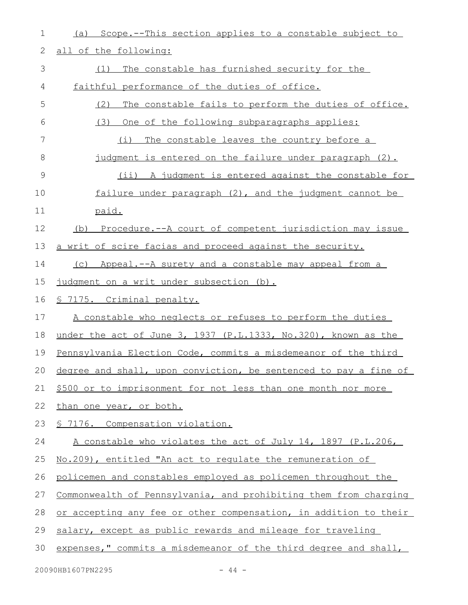| 1             | Scope.--This section applies to a constable subject to<br>(a)    |
|---------------|------------------------------------------------------------------|
| 2             | all of the following:                                            |
| 3             | The constable has furnished security for the<br>(1)              |
| 4             | faithful performance of the duties of office.                    |
| 5             | (2)<br>The constable fails to perform the duties of office.      |
| 6             | (3)<br>One of the following subparagraphs applies:               |
| 7             | The constable leaves the country before a<br>(i)                 |
| 8             | judgment is entered on the failure under paragraph (2).          |
| $\mathcal{G}$ | (ii) A judgment is entered against the constable for             |
| 10            | failure under paragraph (2), and the judgment cannot be          |
| 11            | paid.                                                            |
| 12            | (b) Procedure.--A court of competent jurisdiction may issue      |
| 13            | a writ of scire facias and proceed against the security.         |
| 14            | (c) Appeal.--A surety and a constable may appeal from a          |
| 15            | judgment on a writ under subsection (b).                         |
| 16            | <u>§ 7175. Criminal penalty.</u>                                 |
| 17            | A constable who neglects or refuses to perform the duties        |
| 18            | under the act of June 3, 1937 (P.L.1333, No.320), known as the   |
| 19            | Pennsylvania Election Code, commits a misdemeanor of the third   |
| 20            | degree and shall, upon conviction, be sentenced to pay a fine of |
| 21            | \$500 or to imprisonment for not less than one month nor more    |
| 22            | than one year, or both.                                          |
| 23            | <u>S 7176. Compensation violation.</u>                           |
| 24            | A constable who violates the act of July 14, 1897 (P.L.206,      |
| 25            | No.209), entitled "An act to regulate the remuneration of        |
| 26            | policemen and constables employed as policemen throughout the    |
| 27            | Commonwealth of Pennsylvania, and prohibiting them from charging |
| 28            | or accepting any fee or other compensation, in addition to their |
| 29            | salary, except as public rewards and mileage for traveling       |
| 30            | expenses," commits a misdemeanor of the third degree and shall,  |
|               |                                                                  |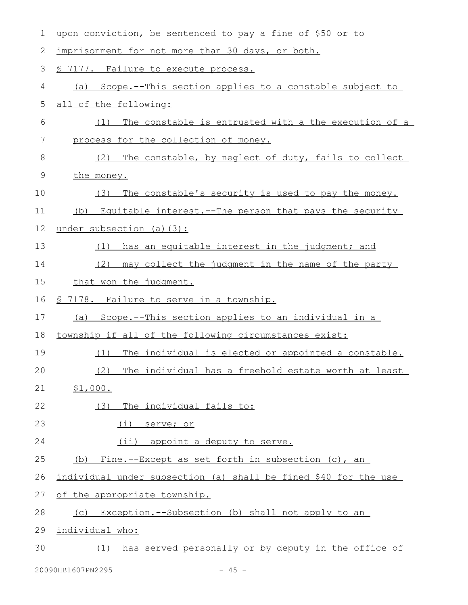| 1           | upon conviction, be sentenced to pay a fine of \$50 or to       |
|-------------|-----------------------------------------------------------------|
| 2           | imprisonment for not more than 30 days, or both.                |
| 3           | § 7177. Failure to execute process.                             |
| 4           | (a) Scope.--This section applies to a constable subject to      |
| 5           | all of the following:                                           |
| 6           | The constable is entrusted with a the execution of a<br>(1)     |
| 7           | process for the collection of money.                            |
| 8           | The constable, by neglect of duty, fails to collect<br>(2)      |
| $\mathsf 9$ | the money.                                                      |
| 10          | The constable's security is used to pay the money.<br>(3)       |
| 11          | Equitable interest.--The person that pays the security<br>(b)   |
| 12          | under subsection (a) $(3)$ :                                    |
| 13          | has an equitable interest in the judgment; and<br>(1)           |
| 14          | (2)<br>may collect the judgment in the name of the party        |
| 15          | that won the judgment.                                          |
| 16          | <u>§ 7178. Failure to serve in a township.</u>                  |
| 17          | Scope.--This section applies to an individual in a<br>(a)       |
| 18          | township if all of the following circumstances exist:           |
| 19          | The individual is elected or appointed a constable.<br>(1)      |
| 20          | The individual has a freehold estate worth at least<br>(2)      |
| 21          | \$1,000.                                                        |
| 22          | (3) The individual fails to:                                    |
| 23          | (i) serve; or                                                   |
| 24          | (ii) appoint a deputy to serve.                                 |
| 25          | (b) Fine.--Except as set forth in subsection (c), an            |
| 26          | individual under subsection (a) shall be fined \$40 for the use |
| 27          | of the appropriate township.                                    |
| 28          | (c) Exception.--Subsection (b) shall not apply to an            |
| 29          | individual who:                                                 |
| 30          | (1) has served personally or by deputy in the office of         |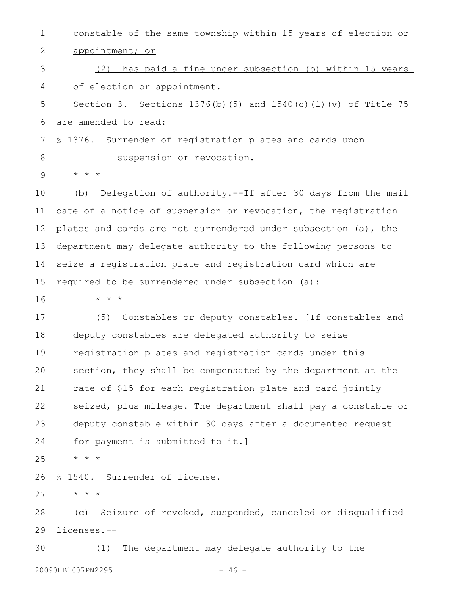constable of the same township within 15 years of election or appointment; or (2) has paid a fine under subsection (b) within 15 years of election or appointment. Section 3. Sections 1376(b)(5) and 1540(c)(1)(v) of Title 75 are amended to read: § 1376. Surrender of registration plates and cards upon suspension or revocation. \* \* \* (b) Delegation of authority.--If after 30 days from the mail date of a notice of suspension or revocation, the registration plates and cards are not surrendered under subsection (a), the department may delegate authority to the following persons to seize a registration plate and registration card which are required to be surrendered under subsection (a): \* \* \* (5) Constables or deputy constables. [If constables and deputy constables are delegated authority to seize registration plates and registration cards under this section, they shall be compensated by the department at the rate of \$15 for each registration plate and card jointly seized, plus mileage. The department shall pay a constable or deputy constable within 30 days after a documented request for payment is submitted to it.] \* \* \* § 1540. Surrender of license. \* \* \* (c) Seizure of revoked, suspended, canceled or disqualified licenses.-- (1) The department may delegate authority to the 1 2 3 4 5 6 7 8 9 10 11 12 13 14 15 16 17 18 19 20 21 22 23 24 25 26 27 28 29 30

20090HB1607PN2295 - 46 -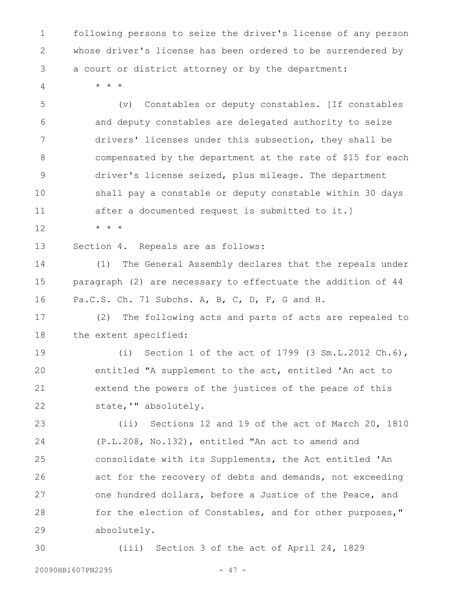following persons to seize the driver's license of any person whose driver's license has been ordered to be surrendered by a court or district attorney or by the department: 1 2 3

4

\* \* \*

(v) Constables or deputy constables. [If constables and deputy constables are delegated authority to seize drivers' licenses under this subsection, they shall be compensated by the department at the rate of \$15 for each driver's license seized, plus mileage. The department shall pay a constable or deputy constable within 30 days after a documented request is submitted to it.] 5 6 7 8 9 10 11

\* \* \* 12

Section 4. Repeals are as follows: 13

(1) The General Assembly declares that the repeals under paragraph (2) are necessary to effectuate the addition of 44 Pa.C.S. Ch. 71 Subchs. A, B, C, D, F, G and H. 14 15 16

(2) The following acts and parts of acts are repealed to the extent specified: 17 18

(i) Section 1 of the act of 1799 (3 Sm.L.2012 Ch.6), entitled "A supplement to the act, entitled 'An act to extend the powers of the justices of the peace of this state,'" absolutely. 19 20 21 22

(ii) Sections 12 and 19 of the act of March 20, 1810 (P.L.208, No.132), entitled "An act to amend and consolidate with its Supplements, the Act entitled 'An act for the recovery of debts and demands, not exceeding one hundred dollars, before a Justice of the Peace, and for the election of Constables, and for other purposes," absolutely. 23 24 25 26 27 28 29

(iii) Section 3 of the act of April 24, 1829 30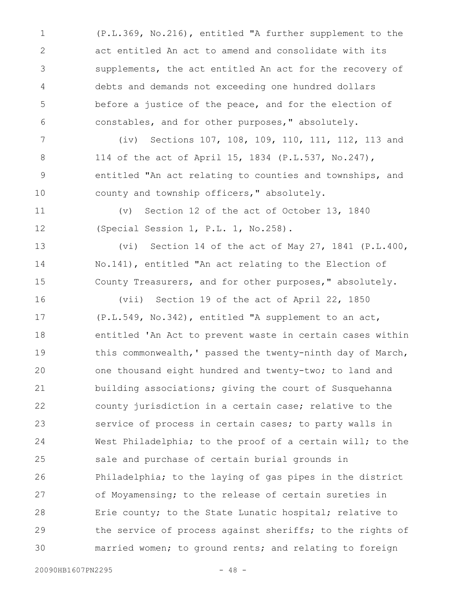(P.L.369, No.216), entitled "A further supplement to the act entitled An act to amend and consolidate with its supplements, the act entitled An act for the recovery of debts and demands not exceeding one hundred dollars before a justice of the peace, and for the election of constables, and for other purposes," absolutely. 1 2 3 4 5 6

(iv) Sections 107, 108, 109, 110, 111, 112, 113 and 114 of the act of April 15, 1834 (P.L.537, No.247), entitled "An act relating to counties and townships, and county and township officers," absolutely. 7 8 9 10

(v) Section 12 of the act of October 13, 1840 (Special Session 1, P.L. 1, No.258). 11 12

(vi) Section 14 of the act of May 27, 1841 (P.L.400, No.141), entitled "An act relating to the Election of County Treasurers, and for other purposes," absolutely. 13 14 15

(vii) Section 19 of the act of April 22, 1850 (P.L.549, No.342), entitled "A supplement to an act, entitled 'An Act to prevent waste in certain cases within this commonwealth,' passed the twenty-ninth day of March, one thousand eight hundred and twenty-two; to land and building associations; giving the court of Susquehanna county jurisdiction in a certain case; relative to the service of process in certain cases; to party walls in West Philadelphia; to the proof of a certain will; to the sale and purchase of certain burial grounds in Philadelphia; to the laying of gas pipes in the district of Moyamensing; to the release of certain sureties in Erie county; to the State Lunatic hospital; relative to the service of process against sheriffs; to the rights of married women; to ground rents; and relating to foreign 16 17 18 19 20 21 22 23 24 25 26 27 28 29 30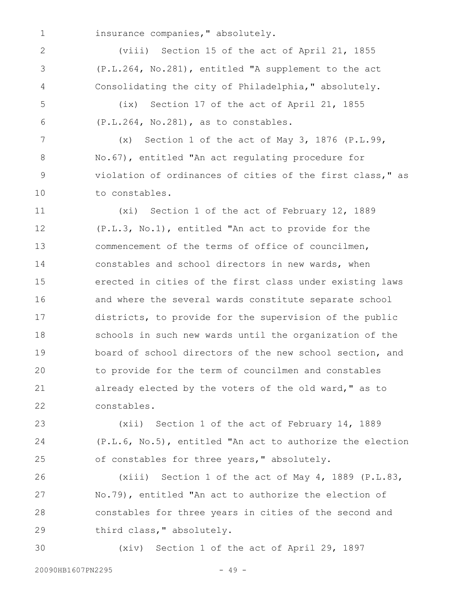1

2

3

4

insurance companies," absolutely.

(viii) Section 15 of the act of April 21, 1855 (P.L.264, No.281), entitled "A supplement to the act Consolidating the city of Philadelphia," absolutely.

(ix) Section 17 of the act of April 21, 1855 (P.L.264, No.281), as to constables. 5 6

(x) Section 1 of the act of May 3, 1876 (P.L.99, No.67), entitled "An act regulating procedure for violation of ordinances of cities of the first class," as to constables. 7 8 9 10

(xi) Section 1 of the act of February 12, 1889 (P.L.3, No.1), entitled "An act to provide for the commencement of the terms of office of councilmen, constables and school directors in new wards, when erected in cities of the first class under existing laws and where the several wards constitute separate school districts, to provide for the supervision of the public schools in such new wards until the organization of the board of school directors of the new school section, and to provide for the term of councilmen and constables already elected by the voters of the old ward," as to constables. 11 12 13 14 15 16 17 18 19 20 21 22

(xii) Section 1 of the act of February 14, 1889 (P.L.6, No.5), entitled "An act to authorize the election of constables for three years," absolutely. 23 24 25

(xiii) Section 1 of the act of May 4, 1889 (P.L.83, No.79), entitled "An act to authorize the election of constables for three years in cities of the second and third class," absolutely. 26 27 28 29

(xiv) Section 1 of the act of April 29, 1897 30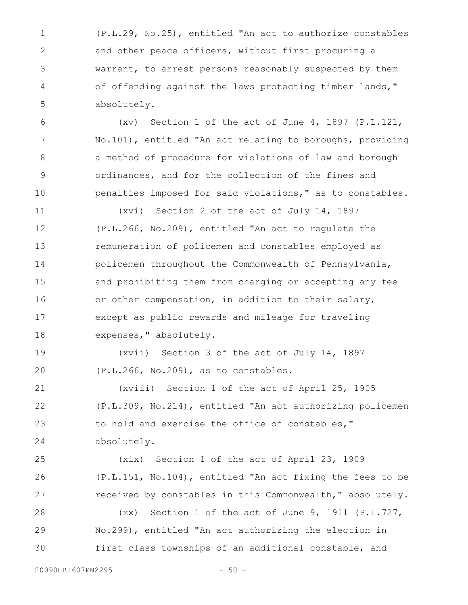(P.L.29, No.25), entitled "An act to authorize constables and other peace officers, without first procuring a warrant, to arrest persons reasonably suspected by them of offending against the laws protecting timber lands," absolutely. 1 2 3 4 5

(xv) Section 1 of the act of June 4, 1897 (P.L.121, No.101), entitled "An act relating to boroughs, providing a method of procedure for violations of law and borough ordinances, and for the collection of the fines and penalties imposed for said violations," as to constables. 6 7 8 9 10

(xvi) Section 2 of the act of July 14, 1897 (P.L.266, No.209), entitled "An act to regulate the remuneration of policemen and constables employed as policemen throughout the Commonwealth of Pennsylvania, and prohibiting them from charging or accepting any fee or other compensation, in addition to their salary, except as public rewards and mileage for traveling expenses," absolutely. 11 12 13 14 15 16 17 18

(xvii) Section 3 of the act of July 14, 1897 (P.L.266, No.209), as to constables. 19 20

(xviii) Section 1 of the act of April 25, 1905 (P.L.309, No.214), entitled "An act authorizing policemen to hold and exercise the office of constables," absolutely. 21 22 23 24

(xix) Section 1 of the act of April 23, 1909 (P.L.151, No.104), entitled "An act fixing the fees to be received by constables in this Commonwealth," absolutely. 25 26 27

(xx) Section 1 of the act of June 9, 1911 (P.L.727, No.299), entitled "An act authorizing the election in first class townships of an additional constable, and 28 29 30

20090HB1607PN2295 - 50 -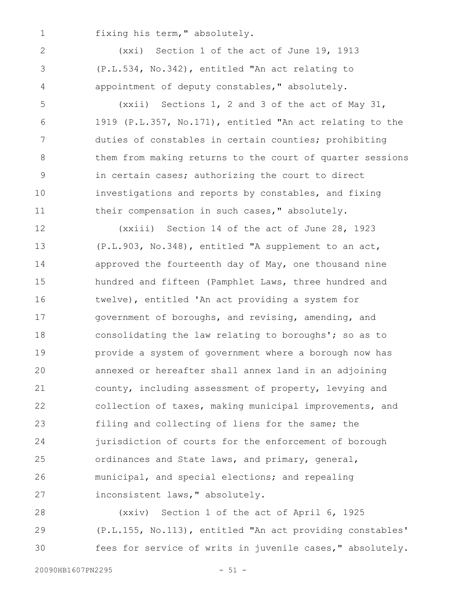fixing his term," absolutely. 1

2

3

4

(xxi) Section 1 of the act of June 19, 1913 (P.L.534, No.342), entitled "An act relating to appointment of deputy constables," absolutely.

(xxii) Sections 1, 2 and 3 of the act of May 31, 1919 (P.L.357, No.171), entitled "An act relating to the duties of constables in certain counties; prohibiting them from making returns to the court of quarter sessions in certain cases; authorizing the court to direct investigations and reports by constables, and fixing their compensation in such cases," absolutely. 5 6 7 8 9 10 11

(xxiii) Section 14 of the act of June 28, 1923 (P.L.903, No.348), entitled "A supplement to an act, approved the fourteenth day of May, one thousand nine hundred and fifteen (Pamphlet Laws, three hundred and twelve), entitled 'An act providing a system for government of boroughs, and revising, amending, and consolidating the law relating to boroughs'; so as to provide a system of government where a borough now has annexed or hereafter shall annex land in an adjoining county, including assessment of property, levying and collection of taxes, making municipal improvements, and filing and collecting of liens for the same; the jurisdiction of courts for the enforcement of borough ordinances and State laws, and primary, general, municipal, and special elections; and repealing inconsistent laws," absolutely. 12 13 14 15 16 17 18 19 20 21 22 23 24 25 26 27

(xxiv) Section 1 of the act of April 6, 1925 (P.L.155, No.113), entitled "An act providing constables' fees for service of writs in juvenile cases," absolutely. 28 29 30

20090HB1607PN2295 - 51 -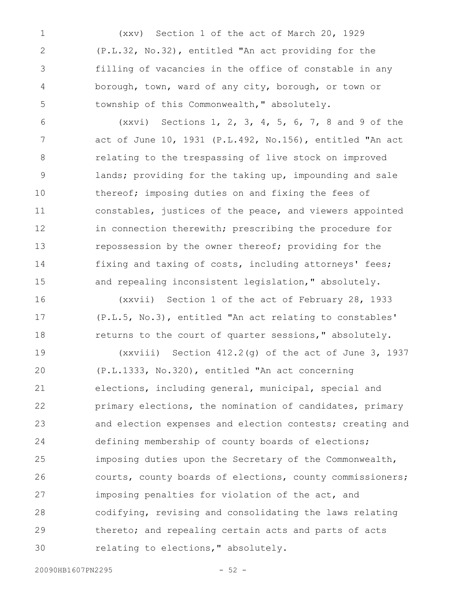(xxv) Section 1 of the act of March 20, 1929 (P.L.32, No.32), entitled "An act providing for the filling of vacancies in the office of constable in any borough, town, ward of any city, borough, or town or township of this Commonwealth," absolutely. 1 2 3 4 5

(xxvi) Sections 1, 2, 3, 4, 5, 6, 7, 8 and 9 of the act of June 10, 1931 (P.L.492, No.156), entitled "An act relating to the trespassing of live stock on improved lands; providing for the taking up, impounding and sale thereof; imposing duties on and fixing the fees of constables, justices of the peace, and viewers appointed in connection therewith; prescribing the procedure for repossession by the owner thereof; providing for the fixing and taxing of costs, including attorneys' fees; and repealing inconsistent legislation," absolutely. 6 7 8 9 10 11 12 13 14 15

(xxvii) Section 1 of the act of February 28, 1933 (P.L.5, No.3), entitled "An act relating to constables' returns to the court of quarter sessions," absolutely. 16 17 18

(xxviii) Section 412.2(g) of the act of June 3, 1937 (P.L.1333, No.320), entitled "An act concerning elections, including general, municipal, special and primary elections, the nomination of candidates, primary and election expenses and election contests; creating and defining membership of county boards of elections; imposing duties upon the Secretary of the Commonwealth, courts, county boards of elections, county commissioners; imposing penalties for violation of the act, and codifying, revising and consolidating the laws relating thereto; and repealing certain acts and parts of acts relating to elections," absolutely. 19 20 21 22 23 24 25 26 27 28 29 30

20090HB1607PN2295 - 52 -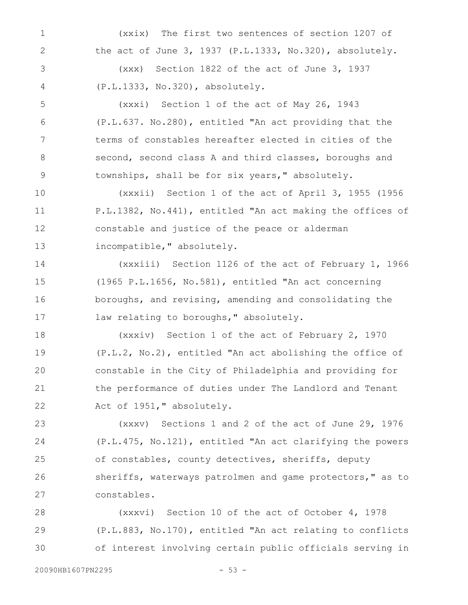(xxix) The first two sentences of section 1207 of the act of June 3, 1937 (P.L.1333, No.320), absolutely. (xxx) Section 1822 of the act of June 3, 1937 1 2 3

(P.L.1333, No.320), absolutely. 4

(xxxi) Section 1 of the act of May 26, 1943 (P.L.637. No.280), entitled "An act providing that the terms of constables hereafter elected in cities of the second, second class A and third classes, boroughs and townships, shall be for six years," absolutely. 5 6 7 8 9

(xxxii) Section 1 of the act of April 3, 1955 (1956 P.L.1382, No.441), entitled "An act making the offices of constable and justice of the peace or alderman incompatible," absolutely. 10 11 12 13

(xxxiii) Section 1126 of the act of February 1, 1966 (1965 P.L.1656, No.581), entitled "An act concerning boroughs, and revising, amending and consolidating the law relating to boroughs, " absolutely. 14 15 16 17

(xxxiv) Section 1 of the act of February 2, 1970 (P.L.2, No.2), entitled "An act abolishing the office of constable in the City of Philadelphia and providing for the performance of duties under The Landlord and Tenant Act of 1951," absolutely. 18 19 20 21 22

(xxxv) Sections 1 and 2 of the act of June 29, 1976 (P.L.475, No.121), entitled "An act clarifying the powers of constables, county detectives, sheriffs, deputy sheriffs, waterways patrolmen and game protectors," as to constables. 23 24 25 26 27

(xxxvi) Section 10 of the act of October 4, 1978 (P.L.883, No.170), entitled "An act relating to conflicts of interest involving certain public officials serving in 28 29 30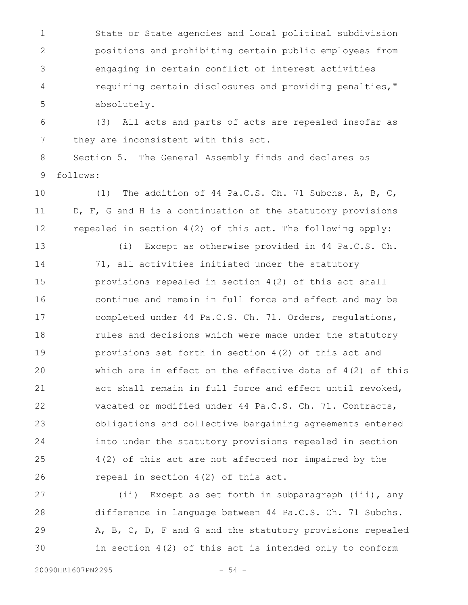State or State agencies and local political subdivision positions and prohibiting certain public employees from engaging in certain conflict of interest activities requiring certain disclosures and providing penalties," absolutely. 1 2 3 4 5

(3) All acts and parts of acts are repealed insofar as they are inconsistent with this act. 6 7

Section 5. The General Assembly finds and declares as follows: 8 9

(1) The addition of 44 Pa.C.S. Ch. 71 Subchs. A, B, C, D, F, G and H is a continuation of the statutory provisions repealed in section 4(2) of this act. The following apply: 10 11 12

(i) Except as otherwise provided in 44 Pa.C.S. Ch. 71, all activities initiated under the statutory provisions repealed in section 4(2) of this act shall continue and remain in full force and effect and may be completed under 44 Pa.C.S. Ch. 71. Orders, regulations, rules and decisions which were made under the statutory provisions set forth in section 4(2) of this act and which are in effect on the effective date of  $4(2)$  of this act shall remain in full force and effect until revoked, vacated or modified under 44 Pa.C.S. Ch. 71. Contracts, obligations and collective bargaining agreements entered into under the statutory provisions repealed in section 4(2) of this act are not affected nor impaired by the repeal in section 4(2) of this act. 13 14 15 16 17 18 19 20 21 22 23 24 25 26

(ii) Except as set forth in subparagraph (iii), any difference in language between 44 Pa.C.S. Ch. 71 Subchs. A, B, C, D, F and G and the statutory provisions repealed in section 4(2) of this act is intended only to conform 27 28 29 30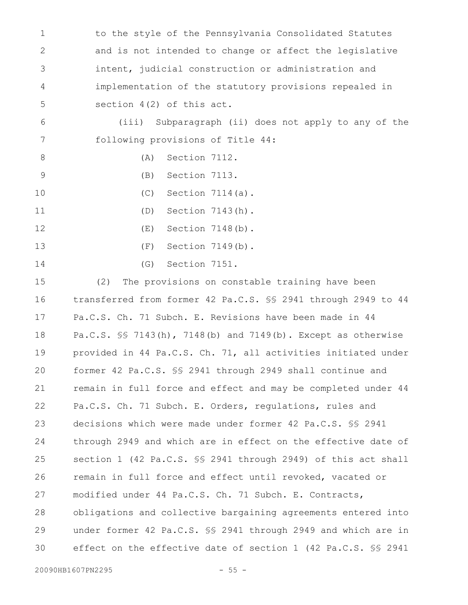to the style of the Pennsylvania Consolidated Statutes and is not intended to change or affect the legislative intent, judicial construction or administration and implementation of the statutory provisions repealed in section 4(2) of this act. 1 2 3 4 5

(iii) Subparagraph (ii) does not apply to any of the following provisions of Title 44: 6 7

- (A) Section 7112. 8
- (B) Section 7113. 9
- (C) Section 7114(a). 10
- (D) Section 7143(h). 11
- (E) Section 7148(b). 12
- (F) Section 7149(b). 13
- (G) Section 7151. 14

(2) The provisions on constable training have been transferred from former 42 Pa.C.S. §§ 2941 through 2949 to 44 Pa.C.S. Ch. 71 Subch. E. Revisions have been made in 44 Pa.C.S. §§ 7143(h), 7148(b) and 7149(b). Except as otherwise provided in 44 Pa.C.S. Ch. 71, all activities initiated under former 42 Pa.C.S. §§ 2941 through 2949 shall continue and remain in full force and effect and may be completed under 44 Pa.C.S. Ch. 71 Subch. E. Orders, regulations, rules and decisions which were made under former 42 Pa.C.S. §§ 2941 through 2949 and which are in effect on the effective date of section 1 (42 Pa.C.S. §§ 2941 through 2949) of this act shall remain in full force and effect until revoked, vacated or modified under 44 Pa.C.S. Ch. 71 Subch. E. Contracts, obligations and collective bargaining agreements entered into under former 42 Pa.C.S. §§ 2941 through 2949 and which are in effect on the effective date of section 1 (42 Pa.C.S. §§ 2941 15 16 17 18 19 20 21 22 23 24 25 26 27 28 29 30